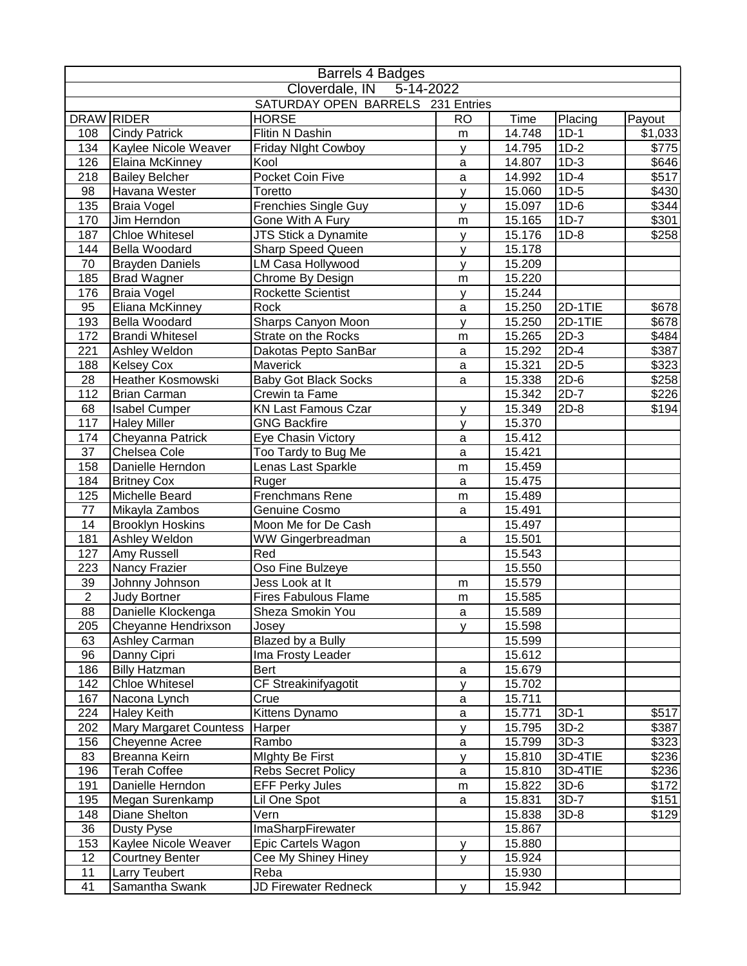|                        |                                               | Barrels 4 Badges                          |              |                  |                   |                |
|------------------------|-----------------------------------------------|-------------------------------------------|--------------|------------------|-------------------|----------------|
|                        |                                               | Cloverdale, IN 5-14-2022                  |              |                  |                   |                |
|                        |                                               | SATURDAY OPEN BARRELS 231 Entries         |              |                  |                   |                |
|                        | DRAW RIDER                                    | <b>HORSE</b>                              | <b>RO</b>    | Time             | Placing           | Payout         |
| 108                    | <b>Cindy Patrick</b>                          | Flitin N Dashin                           | m            | 14.748           | $1D-1$            | \$1,033        |
| 134                    | Kaylee Nicole Weaver                          | Friday NIght Cowboy                       | y            | 14.795           | $1D-2$            | $\sqrt{$775}$  |
| 126                    | Elaina McKinney                               | Kool                                      | a            | 14.807           | $1D-3$            | \$646          |
| 218                    | <b>Bailey Belcher</b>                         | Pocket Coin Five                          | a            | 14.992           | $1D-4$            | \$517          |
| 98                     | Havana Wester                                 | Toretto                                   | y            | 15.060           | $1D-5$            | \$430          |
| 135                    | <b>Braia Vogel</b>                            | <b>Frenchies Single Guy</b>               | У            | 15.097           | $1D-6$            | \$344          |
| 170                    | Jim Herndon                                   | Gone With A Fury                          | m            | 15.165           | $1D-7$            | \$301          |
| 187                    | <b>Chloe Whitesel</b>                         | JTS Stick a Dynamite                      | У            | 15.176           | $1D-8$            | \$258          |
| 144                    | <b>Bella Woodard</b>                          | <b>Sharp Speed Queen</b>                  | У            | 15.178           |                   |                |
| 70                     | <b>Brayden Daniels</b>                        | LM Casa Hollywood                         | y            | 15.209           |                   |                |
| 185                    | <b>Brad Wagner</b>                            | Chrome By Design                          | m            | 15.220           |                   |                |
| 176                    | <b>Braia Vogel</b>                            | <b>Rockette Scientist</b>                 | У            | 15.244           |                   |                |
| 95                     | Eliana McKinney                               | Rock                                      | a            | 15.250           | 2D-1TIE           | \$678          |
| 193<br>172             | Bella Woodard<br><b>Brandi Whitesel</b>       | Sharps Canyon Moon<br>Strate on the Rocks | y            | 15.250           | 2D-1TIE<br>$2D-3$ | \$678<br>\$484 |
| 221                    |                                               |                                           | m            | 15.265           | $2D-4$            |                |
|                        | Ashley Weldon                                 | Dakotas Pepto SanBar<br>Maverick          | a            | 15.292           | $2D-5$            | \$387          |
| 188<br>$\overline{28}$ | <b>Kelsey Cox</b><br><b>Heather Kosmowski</b> | <b>Baby Got Black Socks</b>               | a            | 15.321<br>15.338 | $2D-6$            | \$323<br>\$258 |
| 112                    | <b>Brian Carman</b>                           | Crewin ta Fame                            | a            | 15.342           | $2D-7$            | \$226          |
| 68                     | <b>Isabel Cumper</b>                          | <b>KN Last Famous Czar</b>                |              | 15.349           | $2D-8$            | \$194          |
| 117                    | <b>Haley Miller</b>                           | <b>GNG Backfire</b>                       | y            | 15.370           |                   |                |
| 174                    | Cheyanna Patrick                              | Eye Chasin Victory                        | y<br>a       | 15.412           |                   |                |
| 37                     | Chelsea Cole                                  | Too Tardy to Bug Me                       | $\mathsf{a}$ | 15.421           |                   |                |
| 158                    | Danielle Herndon                              | Lenas Last Sparkle                        | m            | 15.459           |                   |                |
| 184                    | <b>Britney Cox</b>                            | Ruger                                     | a            | 15.475           |                   |                |
| 125                    | Michelle Beard                                | Frenchmans Rene                           | m            | 15.489           |                   |                |
| 77                     | Mikayla Zambos                                | Genuine Cosmo                             | a            | 15.491           |                   |                |
| 14                     | <b>Brooklyn Hoskins</b>                       | Moon Me for De Cash                       |              | 15.497           |                   |                |
| 181                    | Ashley Weldon                                 | WW Gingerbreadman                         | a            | 15.501           |                   |                |
| 127                    | Amy Russell                                   | Red                                       |              | 15.543           |                   |                |
| 223                    | Nancy Frazier                                 | Oso Fine Bulzeye                          |              | 15.550           |                   |                |
| 39                     | Johnny Johnson                                | Jess Look at It                           | m            | 15.579           |                   |                |
| $\overline{2}$         | Judy Bortner                                  | <b>Fires Fabulous Flame</b>               | m            | 15.585           |                   |                |
| 88                     | Danielle Klockenga                            | Sheza Smokin You                          | $\mathsf a$  | 15.589           |                   |                |
| 205                    | Cheyanne Hendrixson                           | Josey                                     | v            | 15.598           |                   |                |
| 63                     | Ashley Carman                                 | Blazed by a Bully                         |              | 15.599           |                   |                |
| 96                     | Danny Cipri                                   | Ima Frosty Leader                         |              | 15.612           |                   |                |
| 186                    | <b>Billy Hatzman</b>                          | Bert                                      | $\mathsf a$  | 15.679           |                   |                |
| 142                    | <b>Chloe Whitesel</b>                         | CF Streakinifyagotit                      | v            | 15.702           |                   |                |
| 167                    | Nacona Lynch                                  | Crue                                      | a            | 15.711           |                   |                |
| 224                    | <b>Haley Keith</b>                            | Kittens Dynamo                            | $\mathsf a$  | 15.771           | $3D-1$            | \$517          |
| 202                    | <b>Mary Margaret Countess</b>                 | Harper                                    | y            | 15.795           | $3D-2$            | \$387          |
| 156                    | Cheyenne Acree                                | Rambo                                     | $\mathsf a$  | 15.799           | $3D-3$            | \$323          |
| 83                     | Breanna Keirn                                 | <b>Mighty Be First</b>                    | y            | 15.810           | 3D-4TIE           | \$236          |
| 196                    | <b>Terah Coffee</b>                           | <b>Rebs Secret Policy</b>                 | a            | 15.810           | 3D-4TIE           | \$236          |
| 191                    | Danielle Herndon                              | <b>EFF Perky Jules</b>                    | m            | 15.822           | $3D-6$            | \$172          |
| 195                    | Megan Surenkamp                               | Lil One Spot                              | a            | 15.831           | $3D-7$            | \$151          |
| 148                    | Diane Shelton                                 | Vern                                      |              | 15.838           | $3D-8$            | \$129          |
| 36                     | <b>Dusty Pyse</b>                             | ImaSharpFirewater                         |              | 15.867           |                   |                |
| 153                    | Kaylee Nicole Weaver                          | Epic Cartels Wagon                        | y            | 15.880           |                   |                |
| 12                     | <b>Courtney Benter</b>                        | Cee My Shiney Hiney                       | y            | 15.924           |                   |                |
| 11                     | Larry Teubert                                 | Reba                                      |              | 15.930           |                   |                |
| 41                     | Samantha Swank                                | <b>JD Firewater Redneck</b>               | У            | 15.942           |                   |                |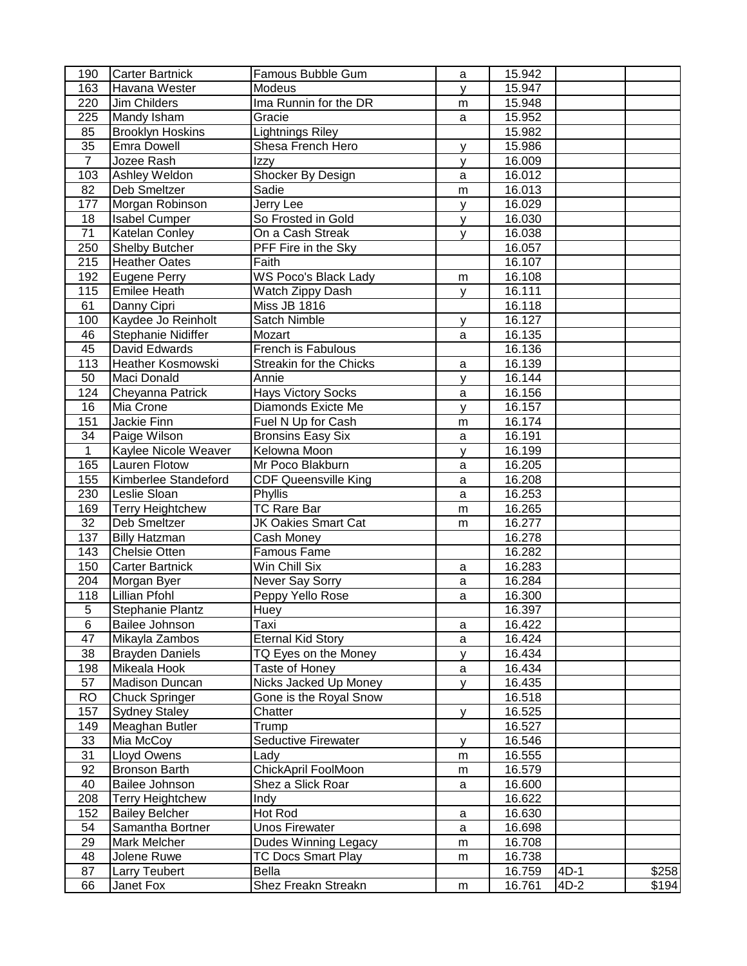| 190             | <b>Carter Bartnick</b>   | Famous Bubble Gum              | a            | 15.942           |        |       |
|-----------------|--------------------------|--------------------------------|--------------|------------------|--------|-------|
| 163             | Havana Wester            | Modeus                         | y            | 15.947           |        |       |
| 220             | Jim Childers             | Ima Runnin for the DR          | m            | 15.948           |        |       |
| 225             | Mandy Isham              | Gracie                         | a            | 15.952           |        |       |
| 85              | <b>Brooklyn Hoskins</b>  | <b>Lightnings Riley</b>        |              | 15.982           |        |       |
| $\overline{35}$ | Emra Dowell              | Shesa French Hero              | У            | 15.986           |        |       |
| $\overline{7}$  | Jozee Rash               | Izzy                           | y            | 16.009           |        |       |
| 103             | Ashley Weldon            | Shocker By Design              | a            | 16.012           |        |       |
| 82              | Deb Smeltzer             | Sadie                          | m            | 16.013           |        |       |
| 177             | Morgan Robinson          | Jerry Lee                      | y            | 16.029           |        |       |
| 18              | <b>Isabel Cumper</b>     | So Frosted in Gold             | V            | 16.030           |        |       |
| $\overline{71}$ | Katelan Conley           | On a Cash Streak               | V            | 16.038           |        |       |
| 250             | Shelby Butcher           | PFF Fire in the Sky            |              | 16.057           |        |       |
| 215             | <b>Heather Oates</b>     | $\overline{\mathsf{F}}$ aith   |              | 16.107           |        |       |
| 192             | <b>Eugene Perry</b>      | <b>WS Poco's Black Lady</b>    | m            | 16.108           |        |       |
| 115             | Emilee Heath             | Watch Zippy Dash               | V            | 16.111           |        |       |
| 61              | Danny Cipri              | <b>Miss JB 1816</b>            |              | 16.118           |        |       |
| 100             | Kaydee Jo Reinholt       | Satch Nimble                   | У            | 16.127           |        |       |
| 46              | Stephanie Nidiffer       | Mozart                         | a            | 16.135           |        |       |
| 45              | David Edwards            | French is Fabulous             |              | 16.136           |        |       |
| 113             | <b>Heather Kosmowski</b> | <b>Streakin for the Chicks</b> | a            | 16.139           |        |       |
| 50              | Maci Donald              | Annie                          | У            | 16.144           |        |       |
| 124             | Cheyanna Patrick         | <b>Hays Victory Socks</b>      | a            | 16.156           |        |       |
| 16              | Mia Crone                | Diamonds Exicte Me             | $\mathsf{v}$ | 16.157           |        |       |
| 151             | Jackie Finn              | Fuel N Up for Cash             | m            | 16.174           |        |       |
| 34              | Paige Wilson             | <b>Bronsins Easy Six</b>       | a            | 16.191           |        |       |
| $\mathbf{1}$    | Kaylee Nicole Weaver     | Kelowna Moon                   | y            | 16.199           |        |       |
| 165             | <b>Lauren Flotow</b>     | Mr Poco Blakburn               | a            | 16.205           |        |       |
| 155             | Kimberlee Standeford     | <b>CDF Queensville King</b>    | a            | 16.208           |        |       |
| 230             | Leslie Sloan             | Phyllis                        | a            | 16.253           |        |       |
| 169             | <b>Terry Heightchew</b>  | <b>TC Rare Bar</b>             | m            | 16.265           |        |       |
| 32              | Deb Smeltzer             | <b>JK Oakies Smart Cat</b>     | m            | 16.277           |        |       |
| 137             | <b>Billy Hatzman</b>     | Cash Money                     |              | 16.278           |        |       |
| 143             | Chelsie Otten            | Famous Fame                    |              | 16.282           |        |       |
| 150             | <b>Carter Bartnick</b>   | Win Chill Six                  | a            | 16.283           |        |       |
| 204             | Morgan Byer              | Never Say Sorry                | a            | 16.284           |        |       |
| 118             | <b>Lillian Pfohl</b>     | Peppy Yello Rose               | a            | 16.300           |        |       |
| 5               | <b>Stephanie Plantz</b>  | Huey                           |              | 16.397           |        |       |
| 6               | Bailee Johnson           | Taxi                           | a            | 16.422           |        |       |
| 47              | Mikayla Zambos           | <b>Eternal Kid Story</b>       | a            | 16.424           |        |       |
| 38              | <b>Brayden Daniels</b>   | TQ Eyes on the Money           | У            | 16.434           |        |       |
| 198             | Mikeala Hook             | Taste of Honey                 | a            | 16.434           |        |       |
| 57              | Madison Duncan           | <b>Nicks Jacked Up Money</b>   | y            | 16.435           |        |       |
| <b>RO</b>       | Chuck Springer           | Gone is the Royal Snow         |              | 16.518           |        |       |
| 157             | <b>Sydney Staley</b>     | Chatter                        | У            | 16.525           |        |       |
| 149             | Meaghan Butler           | Trump                          |              | 16.527           |        |       |
| 33              | Mia McCoy                | Seductive Firewater            |              | 16.546           |        |       |
| 31              | Lloyd Owens              | Lady                           | y            | 16.555           |        |       |
| 92              | <b>Bronson Barth</b>     | ChickApril FoolMoon            | m            |                  |        |       |
| 40              | Bailee Johnson           | Shez a Slick Roar              | m            | 16.579<br>16.600 |        |       |
| 208             |                          |                                | a            | 16.622           |        |       |
|                 | <b>Terry Heightchew</b>  | Indy<br>Hot Rod                |              |                  |        |       |
| 152             | <b>Bailey Belcher</b>    |                                | a            | 16.630           |        |       |
| 54              | Samantha Bortner         | <b>Unos Firewater</b>          | a            | 16.698           |        |       |
| 29              | Mark Melcher             | Dudes Winning Legacy           | m            | 16.708           |        |       |
| 48              | Jolene Ruwe              | <b>TC Docs Smart Play</b>      | m            | 16.738           |        |       |
| 87              | <b>Larry Teubert</b>     | Bella                          |              | 16.759           | 4D-1   | \$258 |
| 66              | Janet Fox                | Shez Freakn Streakn            | m            | 16.761           | $4D-2$ | \$194 |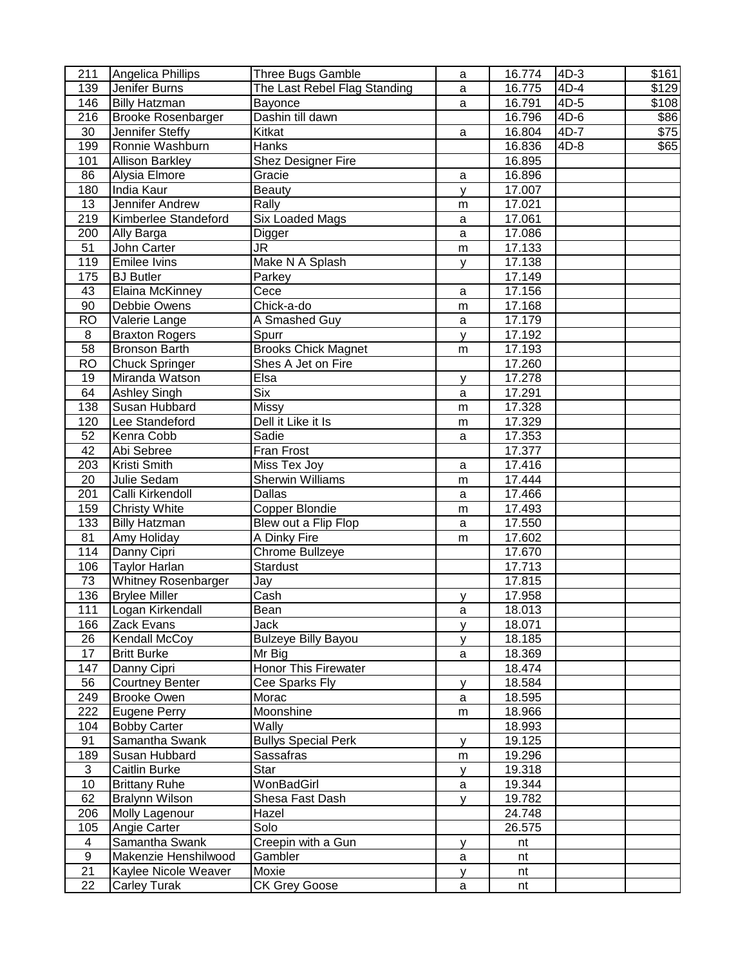| 211              | Angelica Phillips                                  | Three Bugs Gamble                  | a           | 16.774 | $4D-3$ | \$161 |
|------------------|----------------------------------------------------|------------------------------------|-------------|--------|--------|-------|
| 139              | Jenifer Burns                                      | The Last Rebel Flag Standing       | a           | 16.775 | $4D-4$ | \$129 |
| 146              | <b>Billy Hatzman</b>                               | Bayonce                            | a           | 16.791 | 4D-5   | \$108 |
| 216              | <b>Brooke Rosenbarger</b>                          | Dashin till dawn                   |             | 16.796 | $4D-6$ | \$86  |
| 30               | Jennifer Steffy                                    | Kitkat                             | a           | 16.804 | $4D-7$ | \$75  |
| 199              | Ronnie Washburn                                    | <b>Hanks</b>                       |             | 16.836 | $4D-8$ | \$65  |
| 101              | <b>Allison Barkley</b>                             | Shez Designer Fire                 |             | 16.895 |        |       |
| 86               | Alysia Elmore                                      | Gracie                             | a           | 16.896 |        |       |
| 180              | India Kaur                                         | <b>Beauty</b>                      | y           | 17.007 |        |       |
| 13               | Jennifer Andrew                                    | Rally                              | m           | 17.021 |        |       |
| 219              | Kimberlee Standeford                               | <b>Six Loaded Mags</b>             | a           | 17.061 |        |       |
| 200              | Ally Barga                                         | Digger                             | $\mathbf a$ | 17.086 |        |       |
| 51               | John Carter                                        | JR.                                | m           | 17.133 |        |       |
| 119              | <b>Emilee Ivins</b>                                | Make N A Splash                    | V           | 17.138 |        |       |
| 175              | <b>BJ</b> Butler                                   | Parkey                             |             | 17.149 |        |       |
| 43               | Elaina McKinney                                    | Cece                               | a           | 17.156 |        |       |
| 90               | Debbie Owens                                       | Chick-a-do                         | m           | 17.168 |        |       |
| <b>RO</b>        | Valerie Lange                                      | A Smashed Guy                      | a           | 17.179 |        |       |
| 8                | <b>Braxton Rogers</b>                              | Spurr                              | y           | 17.192 |        |       |
| 58               | <b>Bronson Barth</b>                               | <b>Brooks Chick Magnet</b>         | m           | 17.193 |        |       |
| <b>RO</b>        | <b>Chuck Springer</b>                              | Shes A Jet on Fire                 |             | 17.260 |        |       |
| 19               | Miranda Watson                                     | Elsa                               | y           | 17.278 |        |       |
| 64               | <b>Ashley Singh</b>                                | <b>Six</b>                         | $\mathbf a$ | 17.291 |        |       |
| 138              | Susan Hubbard                                      | <b>Missy</b>                       | m           | 17.328 |        |       |
| 120              | Lee Standeford                                     | Dell it Like it Is                 | m           | 17.329 |        |       |
| 52               | Kenra Cobb                                         | Sadie                              |             | 17.353 |        |       |
| 42               | Abi Sebree                                         | Fran Frost                         | a           | 17.377 |        |       |
| 203              | Kristi Smith                                       | Miss Tex Joy                       | a           | 17.416 |        |       |
| 20               | Julie Sedam                                        | <b>Sherwin Williams</b>            |             | 17.444 |        |       |
| 201              | Calli Kirkendoll                                   | <b>Dallas</b>                      | m           | 17.466 |        |       |
| 159              | <b>Christy White</b>                               | <b>Copper Blondie</b>              | $\mathbf a$ | 17.493 |        |       |
| 133              | <b>Billy Hatzman</b>                               | Blew out a Flip Flop               | m           | 17.550 |        |       |
|                  |                                                    | A Dinky Fire                       | a           |        |        |       |
| 81               | Amy Holiday                                        |                                    | m           | 17.602 |        |       |
| 114              | Danny Cipri                                        | Chrome Bullzeye<br><b>Stardust</b> |             | 17.670 |        |       |
| 106              | <b>Taylor Harlan</b><br><b>Whitney Rosenbarger</b> |                                    |             | 17.713 |        |       |
| 73<br>136        |                                                    | Jay<br>Cash                        |             | 17.815 |        |       |
| 111              | <b>Brylee Miller</b>                               | Bean                               | y           | 17.958 |        |       |
|                  | Logan Kirkendall                                   |                                    | a           | 18.013 |        |       |
| 166              | Zack Evans                                         | Jack                               | y           | 18.071 |        |       |
| 26               | <b>Kendall McCoy</b>                               | <b>Bulzeye Billy Bayou</b>         | y           | 18.185 |        |       |
| 17               | <b>Britt Burke</b>                                 | Mr Big                             | a           | 18.369 |        |       |
| 147              | Danny Cipri                                        | <b>Honor This Firewater</b>        |             | 18.474 |        |       |
| 56               | <b>Courtney Benter</b>                             | Cee Sparks Fly                     | y           | 18.584 |        |       |
| 249              | <b>Brooke Owen</b>                                 | Morac                              | a           | 18.595 |        |       |
| 222              | Eugene Perry                                       | Moonshine                          | m           | 18.966 |        |       |
| 104              | <b>Bobby Carter</b>                                | Wally                              |             | 18.993 |        |       |
| 91               | Samantha Swank                                     | <b>Bullys Special Perk</b>         | y           | 19.125 |        |       |
| 189              | Susan Hubbard                                      | Sassafras                          | m           | 19.296 |        |       |
| 3                | Caitlin Burke                                      | Star                               | y           | 19.318 |        |       |
| 10               | <b>Brittany Ruhe</b>                               | WonBadGirl                         | a           | 19.344 |        |       |
| 62               | <b>Bralynn Wilson</b>                              | Shesa Fast Dash                    | y           | 19.782 |        |       |
| 206              | Molly Lagenour                                     | Hazel                              |             | 24.748 |        |       |
| 105              | Angie Carter                                       | Solo                               |             | 26.575 |        |       |
| 4                | Samantha Swank                                     | Creepin with a Gun                 | у           | nt     |        |       |
| $\boldsymbol{9}$ | Makenzie Henshilwood                               | Gambler                            | a           | nt     |        |       |
| 21               | Kaylee Nicole Weaver                               | Moxie                              | y           | nt     |        |       |
| 22               | Carley Turak                                       | <b>CK Grey Goose</b>               | a           | nt     |        |       |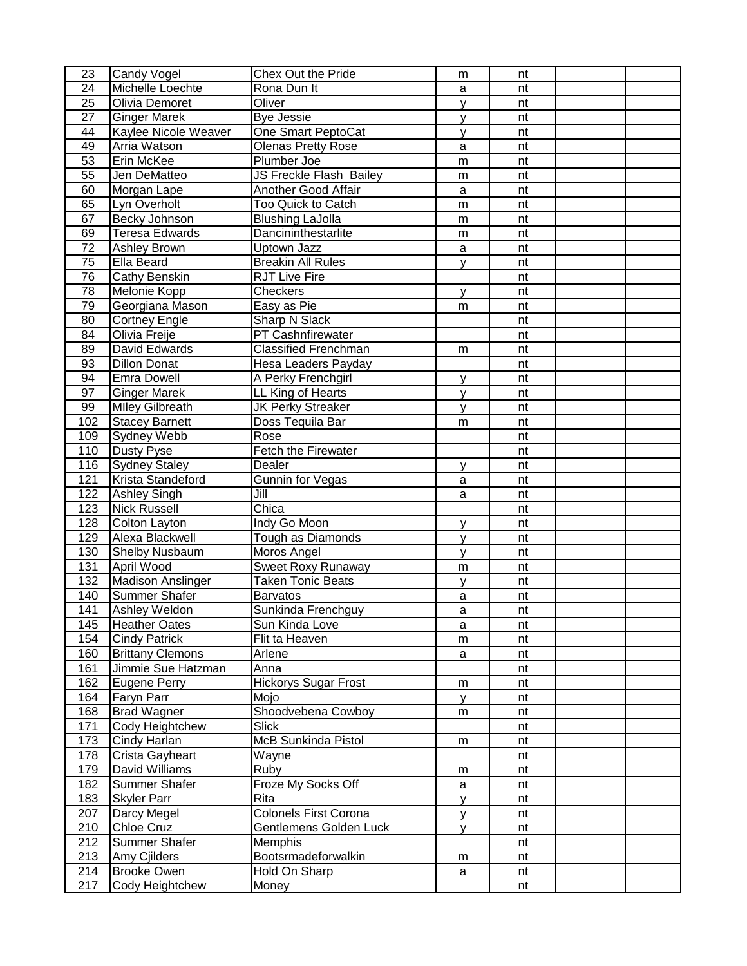| 23              | <b>Candy Vogel</b>       | Chex Out the Pride             | m            | nt |  |
|-----------------|--------------------------|--------------------------------|--------------|----|--|
| 24              | Michelle Loechte         | Rona Dun It                    | a            | nt |  |
| 25              | Olivia Demoret           | Oliver                         | y            | nt |  |
| 27              | <b>Ginger Marek</b>      | <b>Bye Jessie</b>              | У            | nt |  |
| 44              | Kaylee Nicole Weaver     | One Smart PeptoCat             | y            | nt |  |
| 49              | Arria Watson             | <b>Olenas Pretty Rose</b>      | a            | nt |  |
| 53              | Erin McKee               | Plumber Joe                    | m            | nt |  |
| 55              | Jen DeMatteo             | <b>JS Freckle Flash Bailey</b> | ${\sf m}$    | nt |  |
| 60              | Morgan Lape              | <b>Another Good Affair</b>     | a            | nt |  |
| 65              | Lyn Overholt             | Too Quick to Catch             | m            | nt |  |
| 67              | Becky Johnson            | <b>Blushing LaJolla</b>        | m            | nt |  |
| 69              | <b>Teresa Edwards</b>    | Dancininthestarlite            | m            | nt |  |
| 72              | <b>Ashley Brown</b>      | Uptown Jazz                    | a            | nt |  |
| 75              | Ella Beard               | <b>Breakin All Rules</b>       | y            | nt |  |
| $\overline{76}$ | Cathy Benskin            | <b>RJT Live Fire</b>           |              | nt |  |
| 78              | Melonie Kopp             | Checkers                       | $\mathsf{V}$ | nt |  |
| 79              | Georgiana Mason          | Easy as Pie                    | m            | nt |  |
| 80              | <b>Cortney Engle</b>     | Sharp N Slack                  |              | nt |  |
| 84              | Olivia Freije            | PT Cashnfirewater              |              | nt |  |
| 89              | David Edwards            | <b>Classified Frenchman</b>    | m            | nt |  |
| 93              | <b>Dillon Donat</b>      | Hesa Leaders Payday            |              | nt |  |
| 94              | <b>Emra Dowell</b>       | A Perky Frenchgirl             | y            | nt |  |
| 97              | <b>Ginger Marek</b>      | LL King of Hearts              | $\mathsf{v}$ | nt |  |
| 99              | <b>Mlley Gilbreath</b>   | <b>JK Perky Streaker</b>       | y            | nt |  |
| 102             | <b>Stacey Barnett</b>    | Doss Tequila Bar               | m            | nt |  |
| 109             | Sydney Webb              | Rose                           |              | nt |  |
| 110             | <b>Dusty Pyse</b>        | Fetch the Firewater            |              | nt |  |
| 116             | <b>Sydney Staley</b>     | Dealer                         | y            | nt |  |
| 121             | Krista Standeford        | Gunnin for Vegas               | a            | nt |  |
| 122             | <b>Ashley Singh</b>      | Jill                           | a            | nt |  |
| 123             | <b>Nick Russell</b>      | Chica                          |              | nt |  |
| 128             | <b>Colton Layton</b>     | Indy Go Moon                   | y            | nt |  |
| 129             | Alexa Blackwell          | Tough as Diamonds              | y            | nt |  |
| 130             | <b>Shelby Nusbaum</b>    | Moros Angel                    | y            | nt |  |
| 131             | April Wood               | Sweet Roxy Runaway             | m            | nt |  |
| 132             | <b>Madison Anslinger</b> | <b>Taken Tonic Beats</b>       | $\mathsf{V}$ | nt |  |
| 140             | Summer Shafer            | <b>Barvatos</b>                | a            | nt |  |
| 141             | Ashley Weldon            | Sunkinda Frenchguy             | a            | nt |  |
| 145             | <b>Heather Oates</b>     | Sun Kinda Love                 | a            | nt |  |
| 154             | <b>Cindy Patrick</b>     | Flit ta Heaven                 | m            | nt |  |
| 160             | <b>Brittany Clemons</b>  | Arlene                         | a            | nt |  |
| 161             | Jimmie Sue Hatzman       | Anna                           |              | nt |  |
| 162             | <b>Eugene Perry</b>      | <b>Hickorys Sugar Frost</b>    | m            | nt |  |
| 164             | Faryn Parr               | Mojo                           | y            | nt |  |
| 168             | <b>Brad Wagner</b>       | Shoodvebena Cowboy             | m            | nt |  |
| 171             | Cody Heightchew          | <b>Slick</b>                   |              | nt |  |
| 173             | Cindy Harlan             | McB Sunkinda Pistol            | m            | nt |  |
| 178             | Crista Gayheart          | Wayne                          |              | nt |  |
| 179             | David Williams           | Ruby                           | m            | nt |  |
| 182             | <b>Summer Shafer</b>     | Froze My Socks Off             | a            | nt |  |
| 183             | <b>Skyler Parr</b>       | Rita                           | y            | nt |  |
| 207             | Darcy Megel              | Colonels First Corona          | y            | nt |  |
| 210             | <b>Chloe Cruz</b>        | Gentlemens Golden Luck         | y            | nt |  |
| 212             | Summer Shafer            | Memphis                        |              | nt |  |
| 213             | Amy Cjilders             | Bootsrmadeforwalkin            | m            | nt |  |
| 214             | <b>Brooke Owen</b>       | Hold On Sharp                  | a            | nt |  |
| 217             | Cody Heightchew          | Money                          |              | nt |  |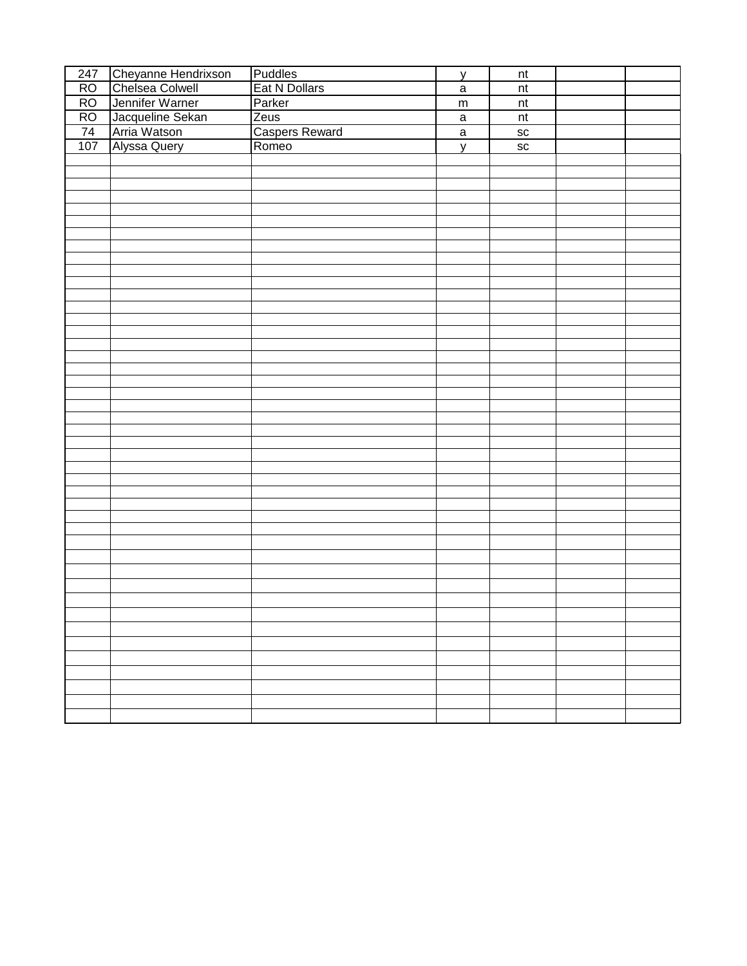| Chelsea Colwell<br>RO<br>Eat N Dollars<br>$\sf{nt}$<br>$\mathbf a$<br>RO<br>Jennifer Warner<br>Parker<br>$\overline{\mathsf{nt}}$<br>${\sf m}$<br>RO<br>Jacqueline Sekan<br>Zeus<br>nt<br>$\mathbf a$<br>74<br><b>Caspers Reward</b><br>Arria Watson<br>SC<br>$\overline{a}$<br>107<br>Alyssa Query<br>Romeo<br>SC<br>y | 247 | Cheyanne Hendrixson | Puddles | y | $\sf{nt}$ |  |
|-------------------------------------------------------------------------------------------------------------------------------------------------------------------------------------------------------------------------------------------------------------------------------------------------------------------------|-----|---------------------|---------|---|-----------|--|
|                                                                                                                                                                                                                                                                                                                         |     |                     |         |   |           |  |
|                                                                                                                                                                                                                                                                                                                         |     |                     |         |   |           |  |
|                                                                                                                                                                                                                                                                                                                         |     |                     |         |   |           |  |
|                                                                                                                                                                                                                                                                                                                         |     |                     |         |   |           |  |
|                                                                                                                                                                                                                                                                                                                         |     |                     |         |   |           |  |
|                                                                                                                                                                                                                                                                                                                         |     |                     |         |   |           |  |
|                                                                                                                                                                                                                                                                                                                         |     |                     |         |   |           |  |
|                                                                                                                                                                                                                                                                                                                         |     |                     |         |   |           |  |
|                                                                                                                                                                                                                                                                                                                         |     |                     |         |   |           |  |
|                                                                                                                                                                                                                                                                                                                         |     |                     |         |   |           |  |
|                                                                                                                                                                                                                                                                                                                         |     |                     |         |   |           |  |
|                                                                                                                                                                                                                                                                                                                         |     |                     |         |   |           |  |
|                                                                                                                                                                                                                                                                                                                         |     |                     |         |   |           |  |
|                                                                                                                                                                                                                                                                                                                         |     |                     |         |   |           |  |
|                                                                                                                                                                                                                                                                                                                         |     |                     |         |   |           |  |
|                                                                                                                                                                                                                                                                                                                         |     |                     |         |   |           |  |
|                                                                                                                                                                                                                                                                                                                         |     |                     |         |   |           |  |
|                                                                                                                                                                                                                                                                                                                         |     |                     |         |   |           |  |
|                                                                                                                                                                                                                                                                                                                         |     |                     |         |   |           |  |
|                                                                                                                                                                                                                                                                                                                         |     |                     |         |   |           |  |
|                                                                                                                                                                                                                                                                                                                         |     |                     |         |   |           |  |
|                                                                                                                                                                                                                                                                                                                         |     |                     |         |   |           |  |
|                                                                                                                                                                                                                                                                                                                         |     |                     |         |   |           |  |
|                                                                                                                                                                                                                                                                                                                         |     |                     |         |   |           |  |
|                                                                                                                                                                                                                                                                                                                         |     |                     |         |   |           |  |
|                                                                                                                                                                                                                                                                                                                         |     |                     |         |   |           |  |
|                                                                                                                                                                                                                                                                                                                         |     |                     |         |   |           |  |
|                                                                                                                                                                                                                                                                                                                         |     |                     |         |   |           |  |
|                                                                                                                                                                                                                                                                                                                         |     |                     |         |   |           |  |
|                                                                                                                                                                                                                                                                                                                         |     |                     |         |   |           |  |
|                                                                                                                                                                                                                                                                                                                         |     |                     |         |   |           |  |
|                                                                                                                                                                                                                                                                                                                         |     |                     |         |   |           |  |
|                                                                                                                                                                                                                                                                                                                         |     |                     |         |   |           |  |
|                                                                                                                                                                                                                                                                                                                         |     |                     |         |   |           |  |
|                                                                                                                                                                                                                                                                                                                         |     |                     |         |   |           |  |
|                                                                                                                                                                                                                                                                                                                         |     |                     |         |   |           |  |
|                                                                                                                                                                                                                                                                                                                         |     |                     |         |   |           |  |
|                                                                                                                                                                                                                                                                                                                         |     |                     |         |   |           |  |
|                                                                                                                                                                                                                                                                                                                         |     |                     |         |   |           |  |
|                                                                                                                                                                                                                                                                                                                         |     |                     |         |   |           |  |
|                                                                                                                                                                                                                                                                                                                         |     |                     |         |   |           |  |
|                                                                                                                                                                                                                                                                                                                         |     |                     |         |   |           |  |
|                                                                                                                                                                                                                                                                                                                         |     |                     |         |   |           |  |
|                                                                                                                                                                                                                                                                                                                         |     |                     |         |   |           |  |
|                                                                                                                                                                                                                                                                                                                         |     |                     |         |   |           |  |
|                                                                                                                                                                                                                                                                                                                         |     |                     |         |   |           |  |
|                                                                                                                                                                                                                                                                                                                         |     |                     |         |   |           |  |
|                                                                                                                                                                                                                                                                                                                         |     |                     |         |   |           |  |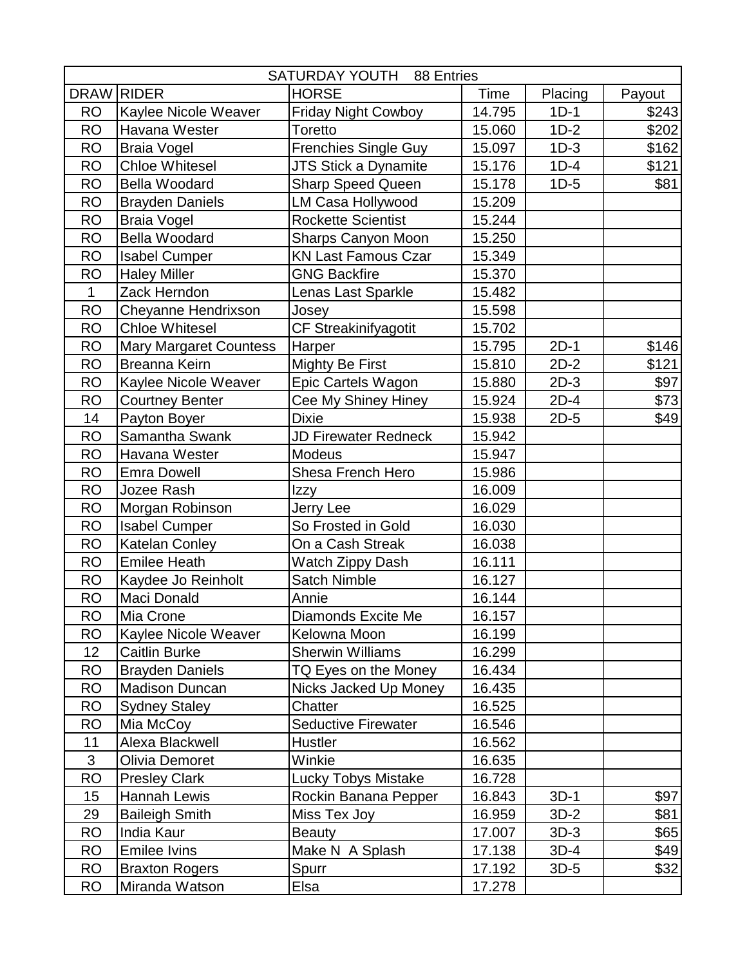|              |                               | SATURDAY YOUTH 88 Entries   |        |         |        |
|--------------|-------------------------------|-----------------------------|--------|---------|--------|
| <b>DRAW</b>  | <b>RIDER</b>                  | <b>HORSE</b>                | Time   | Placing | Payout |
| <b>RO</b>    | Kaylee Nicole Weaver          | <b>Friday Night Cowboy</b>  | 14.795 | $1D-1$  | \$243  |
| <b>RO</b>    | Havana Wester                 | Toretto                     | 15.060 | $1D-2$  | \$202  |
| <b>RO</b>    | <b>Braia Vogel</b>            | <b>Frenchies Single Guy</b> | 15.097 | $1D-3$  | \$162  |
| <b>RO</b>    | <b>Chloe Whitesel</b>         | JTS Stick a Dynamite        | 15.176 | $1D-4$  | \$121  |
| <b>RO</b>    | <b>Bella Woodard</b>          | <b>Sharp Speed Queen</b>    | 15.178 | $1D-5$  | \$81   |
| <b>RO</b>    | <b>Brayden Daniels</b>        | LM Casa Hollywood           | 15.209 |         |        |
| <b>RO</b>    | <b>Braia Vogel</b>            | <b>Rockette Scientist</b>   | 15.244 |         |        |
| <b>RO</b>    | <b>Bella Woodard</b>          | <b>Sharps Canyon Moon</b>   | 15.250 |         |        |
| <b>RO</b>    | <b>Isabel Cumper</b>          | <b>KN Last Famous Czar</b>  | 15.349 |         |        |
| <b>RO</b>    | <b>Haley Miller</b>           | <b>GNG Backfire</b>         | 15.370 |         |        |
| $\mathbf{1}$ | Zack Herndon                  | Lenas Last Sparkle          | 15.482 |         |        |
| <b>RO</b>    | Cheyanne Hendrixson           | Josey                       | 15.598 |         |        |
| <b>RO</b>    | <b>Chloe Whitesel</b>         | CF Streakinifyagotit        | 15.702 |         |        |
| <b>RO</b>    | <b>Mary Margaret Countess</b> | Harper                      | 15.795 | $2D-1$  | \$146  |
| <b>RO</b>    | Breanna Keirn                 | <b>Mighty Be First</b>      | 15.810 | $2D-2$  | \$121  |
| <b>RO</b>    | Kaylee Nicole Weaver          | Epic Cartels Wagon          | 15.880 | $2D-3$  | \$97   |
| <b>RO</b>    | <b>Courtney Benter</b>        | Cee My Shiney Hiney         | 15.924 | $2D-4$  | \$73   |
| 14           | Payton Boyer                  | Dixie                       | 15.938 | $2D-5$  | \$49   |
| <b>RO</b>    | Samantha Swank                | JD Firewater Redneck        | 15.942 |         |        |
| <b>RO</b>    | Havana Wester                 | <b>Modeus</b>               | 15.947 |         |        |
| <b>RO</b>    | <b>Emra Dowell</b>            | Shesa French Hero           | 15.986 |         |        |
| <b>RO</b>    | Jozee Rash                    | Izzy                        | 16.009 |         |        |
| <b>RO</b>    | Morgan Robinson               | Jerry Lee                   | 16.029 |         |        |
| <b>RO</b>    | <b>Isabel Cumper</b>          | So Frosted in Gold          | 16.030 |         |        |
| <b>RO</b>    | Katelan Conley                | On a Cash Streak            | 16.038 |         |        |
| <b>RO</b>    | <b>Emilee Heath</b>           | Watch Zippy Dash            | 16.111 |         |        |
| <b>RO</b>    | Kaydee Jo Reinholt            | Satch Nimble                | 16.127 |         |        |
| <b>RO</b>    | Maci Donald                   | Annie                       | 16.144 |         |        |
| <b>RO</b>    | Mia Crone                     | Diamonds Excite Me          | 16.157 |         |        |
| <b>RO</b>    | Kaylee Nicole Weaver          | Kelowna Moon                | 16.199 |         |        |
| 12           | <b>Caitlin Burke</b>          | <b>Sherwin Williams</b>     | 16.299 |         |        |
| <b>RO</b>    | <b>Brayden Daniels</b>        | TQ Eyes on the Money        | 16.434 |         |        |
| <b>RO</b>    | <b>Madison Duncan</b>         | Nicks Jacked Up Money       | 16.435 |         |        |
| <b>RO</b>    | <b>Sydney Staley</b>          | Chatter                     | 16.525 |         |        |
| <b>RO</b>    | Mia McCoy                     | Seductive Firewater         | 16.546 |         |        |
| 11           | Alexa Blackwell               | Hustler                     | 16.562 |         |        |
| 3            | Olivia Demoret                | Winkie                      | 16.635 |         |        |
| <b>RO</b>    | <b>Presley Clark</b>          | Lucky Tobys Mistake         | 16.728 |         |        |
| 15           | Hannah Lewis                  | Rockin Banana Pepper        | 16.843 | $3D-1$  | \$97   |
| 29           | <b>Baileigh Smith</b>         | Miss Tex Joy                | 16.959 | $3D-2$  | \$81   |
| <b>RO</b>    | India Kaur                    | <b>Beauty</b>               | 17.007 | $3D-3$  | \$65   |
| <b>RO</b>    | <b>Emilee Ivins</b>           | Make N A Splash             | 17.138 | $3D-4$  | \$49   |
| <b>RO</b>    | <b>Braxton Rogers</b>         | Spurr                       | 17.192 | $3D-5$  | \$32   |
| RO           | Miranda Watson                | Elsa                        | 17.278 |         |        |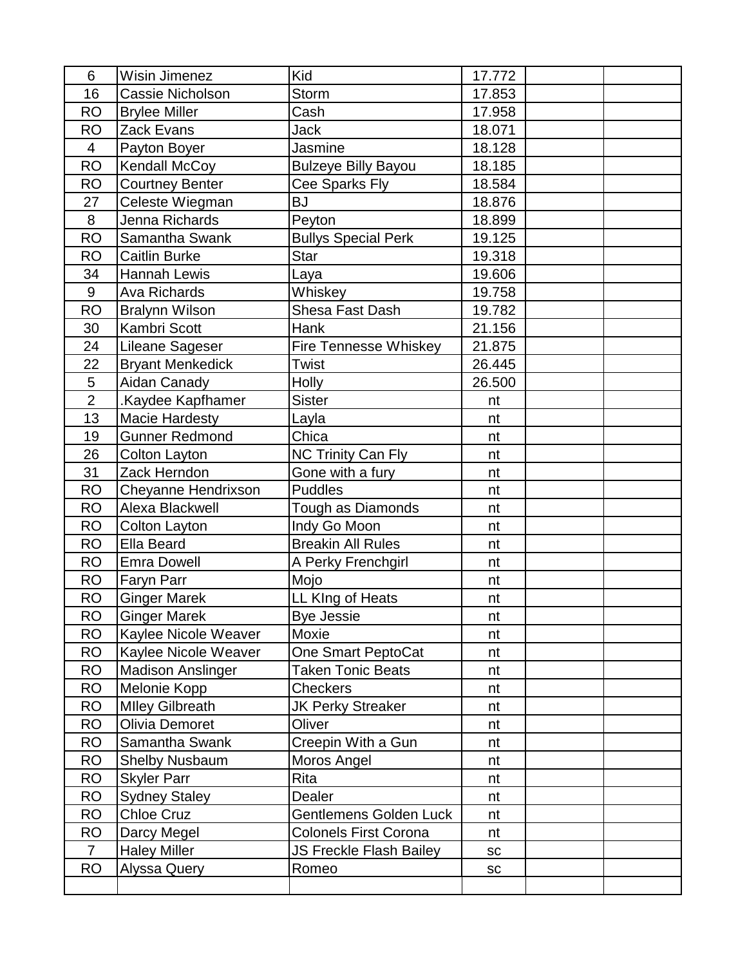| 6              | <b>Wisin Jimenez</b>     | Kid                            | 17.772 |  |
|----------------|--------------------------|--------------------------------|--------|--|
| 16             | Cassie Nicholson         | Storm                          | 17.853 |  |
| <b>RO</b>      | <b>Brylee Miller</b>     | Cash                           | 17.958 |  |
| <b>RO</b>      | Zack Evans               | <b>Jack</b>                    | 18.071 |  |
| 4              | Payton Boyer             | Jasmine                        | 18.128 |  |
| <b>RO</b>      | Kendall McCoy            | <b>Bulzeye Billy Bayou</b>     | 18.185 |  |
| <b>RO</b>      | <b>Courtney Benter</b>   | Cee Sparks Fly                 | 18.584 |  |
| 27             | Celeste Wiegman          | <b>BJ</b>                      | 18.876 |  |
| 8              | Jenna Richards           | Peyton                         | 18.899 |  |
| <b>RO</b>      | Samantha Swank           | <b>Bullys Special Perk</b>     | 19.125 |  |
| <b>RO</b>      | <b>Caitlin Burke</b>     | <b>Star</b>                    | 19.318 |  |
| 34             | Hannah Lewis             | Laya                           | 19.606 |  |
| 9              | <b>Ava Richards</b>      | Whiskey                        | 19.758 |  |
| <b>RO</b>      | <b>Bralynn Wilson</b>    | Shesa Fast Dash                | 19.782 |  |
| 30             | Kambri Scott             | Hank                           | 21.156 |  |
| 24             | Lileane Sageser          | <b>Fire Tennesse Whiskey</b>   | 21.875 |  |
| 22             | <b>Bryant Menkedick</b>  | <b>Twist</b>                   | 26.445 |  |
| 5              | Aidan Canady             | <b>Holly</b>                   | 26.500 |  |
| $\overline{2}$ | .Kaydee Kapfhamer        | <b>Sister</b>                  | nt     |  |
| 13             | <b>Macie Hardesty</b>    | Layla                          | nt     |  |
| 19             | <b>Gunner Redmond</b>    | Chica                          | nt     |  |
| 26             | Colton Layton            | <b>NC Trinity Can Fly</b>      | nt     |  |
| 31             | Zack Herndon             | Gone with a fury               | nt     |  |
| <b>RO</b>      | Cheyanne Hendrixson      | <b>Puddles</b>                 | nt     |  |
| <b>RO</b>      | Alexa Blackwell          | Tough as Diamonds              | nt     |  |
| <b>RO</b>      | <b>Colton Layton</b>     | Indy Go Moon                   | nt     |  |
| <b>RO</b>      | <b>Ella Beard</b>        | <b>Breakin All Rules</b>       | nt     |  |
| <b>RO</b>      | <b>Emra Dowell</b>       | A Perky Frenchgirl             | nt     |  |
| <b>RO</b>      | Faryn Parr               | Mojo                           | nt     |  |
| <b>RO</b>      | <b>Ginger Marek</b>      | LL KIng of Heats               | nt     |  |
| <b>RO</b>      | Ginger Marek             | <b>Bye Jessie</b>              | nt     |  |
| <b>RO</b>      | Kaylee Nicole Weaver     | Moxie                          | nt     |  |
| <b>RO</b>      | Kaylee Nicole Weaver     | One Smart PeptoCat             | nt     |  |
| <b>RO</b>      | <b>Madison Anslinger</b> | <b>Taken Tonic Beats</b>       | nt     |  |
| <b>RO</b>      | Melonie Kopp             | <b>Checkers</b>                | nt     |  |
| <b>RO</b>      | <b>Mlley Gilbreath</b>   | <b>JK Perky Streaker</b>       | nt     |  |
| <b>RO</b>      | Olivia Demoret           | Oliver                         | nt     |  |
| <b>RO</b>      | Samantha Swank           | Creepin With a Gun             | nt     |  |
| <b>RO</b>      | <b>Shelby Nusbaum</b>    | Moros Angel                    | nt     |  |
| <b>RO</b>      | <b>Skyler Parr</b>       | Rita                           | nt     |  |
| <b>RO</b>      | <b>Sydney Staley</b>     | Dealer                         | nt     |  |
| <b>RO</b>      | <b>Chloe Cruz</b>        | Gentlemens Golden Luck         | nt     |  |
| <b>RO</b>      | Darcy Megel              | <b>Colonels First Corona</b>   | nt     |  |
| $\overline{7}$ | <b>Haley Miller</b>      | <b>JS Freckle Flash Bailey</b> | SC     |  |
| <b>RO</b>      | <b>Alyssa Query</b>      | Romeo                          | SC     |  |
|                |                          |                                |        |  |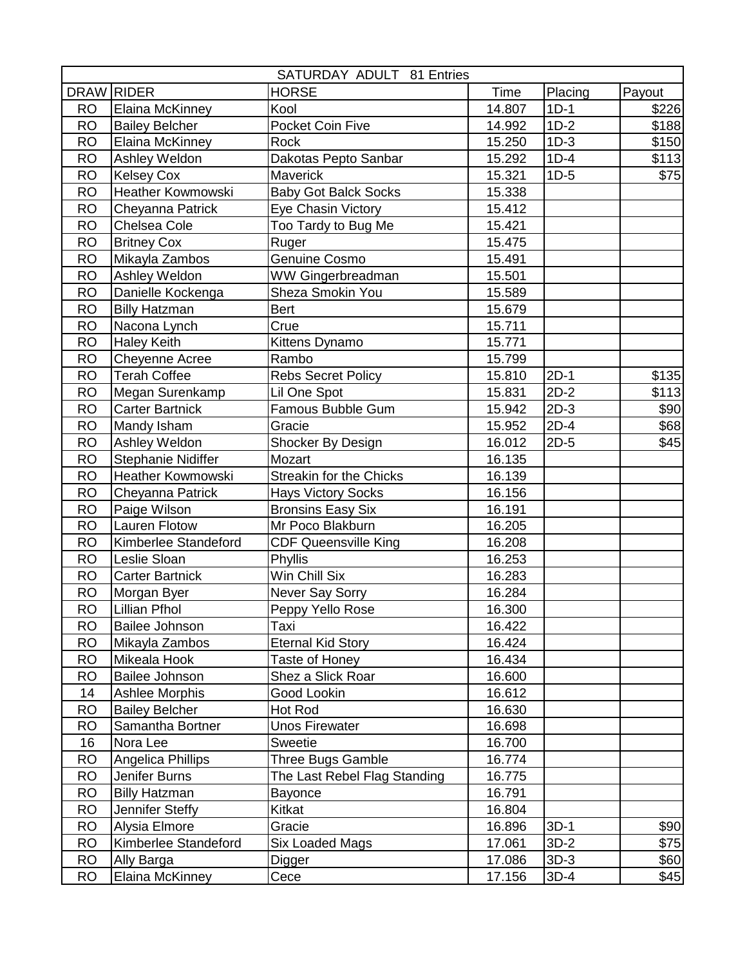|             |                        | SATURDAY ADULT 81 Entries      |        |         |        |
|-------------|------------------------|--------------------------------|--------|---------|--------|
| <b>DRAW</b> | <b>RIDER</b>           | <b>HORSE</b>                   | Time   | Placing | Payout |
| <b>RO</b>   | Elaina McKinney        | Kool                           | 14.807 | $1D-1$  | \$226  |
| <b>RO</b>   | <b>Bailey Belcher</b>  | Pocket Coin Five               | 14.992 | $1D-2$  | \$188  |
| <b>RO</b>   | Elaina McKinney        | Rock                           | 15.250 | $1D-3$  | \$150  |
| <b>RO</b>   | Ashley Weldon          | Dakotas Pepto Sanbar           | 15.292 | $1D-4$  | \$113  |
| <b>RO</b>   | <b>Kelsey Cox</b>      | Maverick                       | 15.321 | $1D-5$  | \$75   |
| <b>RO</b>   | Heather Kowmowski      | <b>Baby Got Balck Socks</b>    | 15.338 |         |        |
| <b>RO</b>   | Cheyanna Patrick       | Eye Chasin Victory             | 15.412 |         |        |
| <b>RO</b>   | Chelsea Cole           | Too Tardy to Bug Me            | 15.421 |         |        |
| <b>RO</b>   | <b>Britney Cox</b>     | Ruger                          | 15.475 |         |        |
| <b>RO</b>   | Mikayla Zambos         | Genuine Cosmo                  | 15.491 |         |        |
| <b>RO</b>   | Ashley Weldon          | WW Gingerbreadman              | 15.501 |         |        |
| <b>RO</b>   | Danielle Kockenga      | Sheza Smokin You               | 15.589 |         |        |
| <b>RO</b>   | <b>Billy Hatzman</b>   | <b>Bert</b>                    | 15.679 |         |        |
| <b>RO</b>   | Nacona Lynch           | Crue                           | 15.711 |         |        |
| <b>RO</b>   | <b>Haley Keith</b>     | Kittens Dynamo                 | 15.771 |         |        |
| <b>RO</b>   | Cheyenne Acree         | Rambo                          | 15.799 |         |        |
| <b>RO</b>   | <b>Terah Coffee</b>    | <b>Rebs Secret Policy</b>      | 15.810 | $2D-1$  | \$135  |
| <b>RO</b>   | Megan Surenkamp        | Lil One Spot                   | 15.831 | $2D-2$  | \$113  |
| <b>RO</b>   | <b>Carter Bartnick</b> | Famous Bubble Gum              | 15.942 | $2D-3$  | \$90   |
| <b>RO</b>   | Mandy Isham            | Gracie                         | 15.952 | $2D-4$  | \$68   |
| <b>RO</b>   | Ashley Weldon          | Shocker By Design              | 16.012 | $2D-5$  | \$45   |
| <b>RO</b>   | Stephanie Nidiffer     | Mozart                         | 16.135 |         |        |
| <b>RO</b>   | Heather Kowmowski      | <b>Streakin for the Chicks</b> | 16.139 |         |        |
| <b>RO</b>   | Cheyanna Patrick       | <b>Hays Victory Socks</b>      | 16.156 |         |        |
| <b>RO</b>   | Paige Wilson           | <b>Bronsins Easy Six</b>       | 16.191 |         |        |
| <b>RO</b>   | Lauren Flotow          | Mr Poco Blakburn               | 16.205 |         |        |
| <b>RO</b>   | Kimberlee Standeford   | <b>CDF Queensville King</b>    | 16.208 |         |        |
| <b>RO</b>   | Leslie Sloan           | <b>Phyllis</b>                 | 16.253 |         |        |
| <b>RO</b>   | <b>Carter Bartnick</b> | Win Chill Six                  | 16.283 |         |        |
| <b>RO</b>   | Morgan Byer            | Never Say Sorry                | 16.284 |         |        |
| RO          | <b>Lillian Pfhol</b>   | Peppy Yello Rose               | 16.300 |         |        |
| <b>RO</b>   | <b>Bailee Johnson</b>  | Taxi                           | 16.422 |         |        |
| RO.         | Mikayla Zambos         | <b>Eternal Kid Story</b>       | 16.424 |         |        |
| RO          | Mikeala Hook           | Taste of Honey                 | 16.434 |         |        |
| <b>RO</b>   | Bailee Johnson         | Shez a Slick Roar              | 16.600 |         |        |
| 14          | Ashlee Morphis         | Good Lookin                    | 16.612 |         |        |
| <b>RO</b>   | <b>Bailey Belcher</b>  | Hot Rod                        | 16.630 |         |        |
| <b>RO</b>   | Samantha Bortner       | <b>Unos Firewater</b>          | 16.698 |         |        |
| 16          | Nora Lee               | Sweetie                        | 16.700 |         |        |
| RO          | Angelica Phillips      | <b>Three Bugs Gamble</b>       | 16.774 |         |        |
| RO          | Jenifer Burns          | The Last Rebel Flag Standing   | 16.775 |         |        |
| RO          | <b>Billy Hatzman</b>   | Bayonce                        | 16.791 |         |        |
| RO.         | Jennifer Steffy        | Kitkat                         | 16.804 |         |        |
| <b>RO</b>   | Alysia Elmore          | Gracie                         | 16.896 | $3D-1$  | \$90   |
| <b>RO</b>   | Kimberlee Standeford   | <b>Six Loaded Mags</b>         | 17.061 | $3D-2$  | \$75   |
| <b>RO</b>   | Ally Barga             | Digger                         | 17.086 | $3D-3$  | \$60   |
| RO          | Elaina McKinney        | Cece                           | 17.156 | $3D-4$  | \$45   |
|             |                        |                                |        |         |        |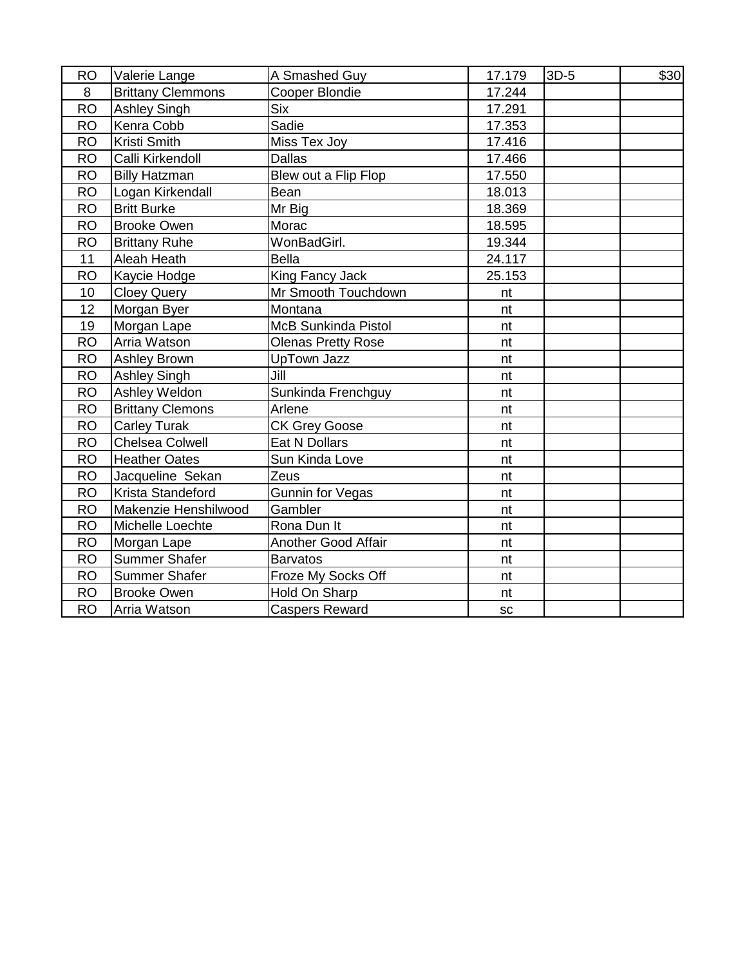| <b>RO</b> | Valerie Lange            | A Smashed Guy              | 17.179 | $3D-5$ | \$30 |
|-----------|--------------------------|----------------------------|--------|--------|------|
| 8         | <b>Brittany Clemmons</b> | Cooper Blondie             | 17.244 |        |      |
| <b>RO</b> | <b>Ashley Singh</b>      | <b>Six</b>                 | 17.291 |        |      |
| <b>RO</b> | Kenra Cobb               | Sadie                      | 17.353 |        |      |
| <b>RO</b> | Kristi Smith             | Miss Tex Joy               | 17.416 |        |      |
| <b>RO</b> | Calli Kirkendoll         | <b>Dallas</b>              | 17.466 |        |      |
| <b>RO</b> | <b>Billy Hatzman</b>     | Blew out a Flip Flop       | 17.550 |        |      |
| <b>RO</b> | Logan Kirkendall         | Bean                       | 18.013 |        |      |
| <b>RO</b> | <b>Britt Burke</b>       | Mr Big                     | 18.369 |        |      |
| <b>RO</b> | <b>Brooke Owen</b>       | Morac                      | 18.595 |        |      |
| <b>RO</b> | <b>Brittany Ruhe</b>     | WonBadGirl.                | 19.344 |        |      |
| 11        | Aleah Heath              | <b>Bella</b>               | 24.117 |        |      |
| <b>RO</b> | Kaycie Hodge             | King Fancy Jack            | 25.153 |        |      |
| 10        | <b>Cloey Query</b>       | Mr Smooth Touchdown        | nt     |        |      |
| 12        | Morgan Byer              | Montana                    | nt     |        |      |
| 19        | Morgan Lape              | <b>McB Sunkinda Pistol</b> | nt     |        |      |
| <b>RO</b> | Arria Watson             | <b>Olenas Pretty Rose</b>  | nt     |        |      |
| <b>RO</b> | Ashley Brown             | <b>UpTown Jazz</b>         | nt     |        |      |
| <b>RO</b> | <b>Ashley Singh</b>      | Jill                       | nt     |        |      |
| <b>RO</b> | Ashley Weldon            | Sunkinda Frenchguy         | nt     |        |      |
| <b>RO</b> | <b>Brittany Clemons</b>  | Arlene                     | nt     |        |      |
| <b>RO</b> | <b>Carley Turak</b>      | <b>CK Grey Goose</b>       | nt     |        |      |
| <b>RO</b> | Chelsea Colwell          | Eat N Dollars              | nt     |        |      |
| <b>RO</b> | <b>Heather Oates</b>     | Sun Kinda Love             | nt     |        |      |
| <b>RO</b> | Jacqueline Sekan         | Zeus                       | nt     |        |      |
| <b>RO</b> | Krista Standeford        | <b>Gunnin for Vegas</b>    | nt     |        |      |
| <b>RO</b> | Makenzie Henshilwood     | Gambler                    | nt     |        |      |
| <b>RO</b> | Michelle Loechte         | Rona Dun It                | nt     |        |      |
| <b>RO</b> | Morgan Lape              | Another Good Affair        | nt     |        |      |
| <b>RO</b> | <b>Summer Shafer</b>     | <b>Barvatos</b>            | nt     |        |      |
| <b>RO</b> | <b>Summer Shafer</b>     | Froze My Socks Off         | nt     |        |      |
| <b>RO</b> | <b>Brooke Owen</b>       | Hold On Sharp              | nt     |        |      |
| <b>RO</b> | Arria Watson             | <b>Caspers Reward</b>      | SC     |        |      |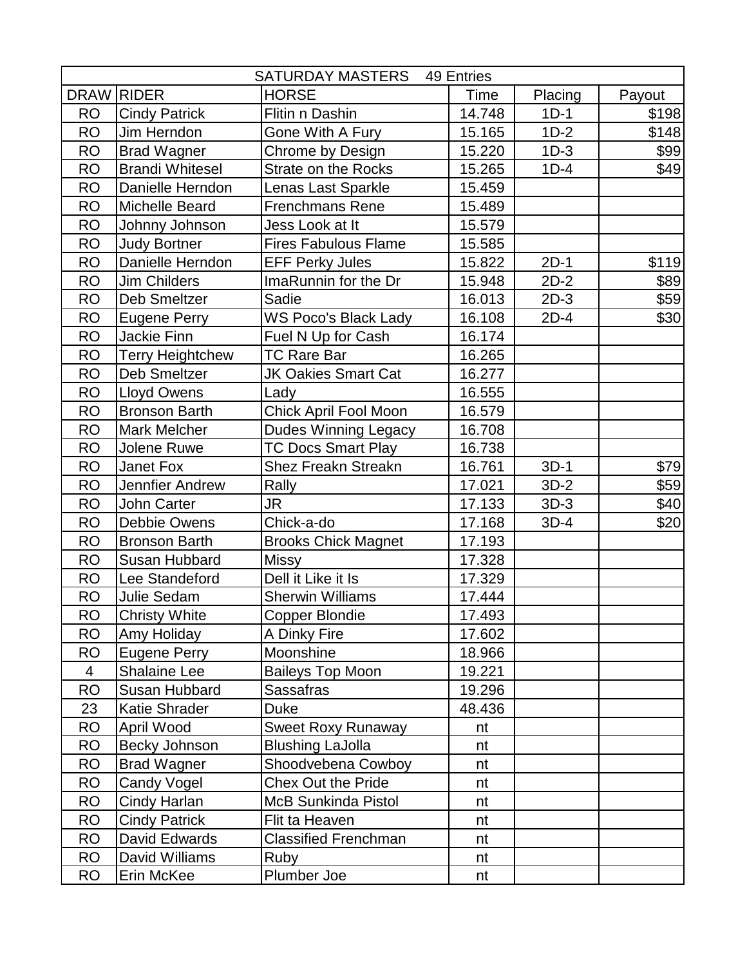| DRAW RIDER<br><b>HORSE</b><br><b>Time</b><br>Placing<br>Payout<br><b>RO</b><br>Flitin n Dashin<br>$1D-1$<br>\$198<br><b>Cindy Patrick</b><br>14.748<br><b>RO</b><br>Jim Herndon<br>15.165<br>$1D-2$<br>\$148<br>Gone With A Fury<br>\$99<br><b>RO</b><br><b>Brad Wagner</b><br>Chrome by Design<br>$1D-3$<br>15.220<br>\$49<br><b>RO</b><br><b>Brandi Whitesel</b><br>15.265<br>$1D-4$<br>Strate on the Rocks<br><b>RO</b><br>Danielle Herndon<br>Lenas Last Sparkle<br>15.459<br><b>RO</b><br>Michelle Beard<br><b>Frenchmans Rene</b><br>15.489<br><b>RO</b><br>Jess Look at It<br>Johnny Johnson<br>15.579<br><b>RO</b><br><b>Judy Bortner</b><br><b>Fires Fabulous Flame</b><br>15.585<br><b>RO</b><br>Danielle Herndon<br>15.822<br>$2D-1$<br><b>EFF Perky Jules</b><br>\$119<br>\$89<br><b>RO</b><br><b>Jim Childers</b><br>ImaRunnin for the Dr<br>15.948<br>$2D-2$<br><b>RO</b><br>$2D-3$<br>\$59<br><b>Deb Smeltzer</b><br>Sadie<br>16.013<br>$2D-4$<br>\$30<br><b>RO</b><br><b>Eugene Perry</b><br><b>WS Poco's Black Lady</b><br>16.108<br><b>RO</b><br>Jackie Finn<br>16.174<br>Fuel N Up for Cash<br><b>TC Rare Bar</b><br><b>RO</b><br><b>Terry Heightchew</b><br>16.265<br><b>RO</b><br><b>Deb Smeltzer</b><br>16.277<br><b>JK Oakies Smart Cat</b><br><b>RO</b><br><b>Lloyd Owens</b><br>16.555<br>Lady<br><b>RO</b><br><b>Bronson Barth</b><br>Chick April Fool Moon<br>16.579<br><b>RO</b><br><b>Mark Melcher</b><br><b>Dudes Winning Legacy</b><br>16.708<br><b>RO</b><br><b>TC Docs Smart Play</b><br>Jolene Ruwe<br>16.738<br>$3D-1$<br><b>RO</b><br>Janet Fox<br>Shez Freakn Streakn<br>16.761<br>\$79<br><b>RO</b><br>$3D-2$<br>\$59<br>Jennfier Andrew<br>Rally<br>17.021<br><b>RO</b><br>17.133<br>$3D-3$<br>\$40<br>John Carter<br>JR<br><b>RO</b><br><b>Debbie Owens</b><br>Chick-a-do<br>\$20<br>17.168<br>$3D-4$<br><b>RO</b><br><b>Bronson Barth</b><br><b>Brooks Chick Magnet</b><br>17.193<br><b>RO</b><br><b>Susan Hubbard</b><br><b>Missy</b><br>17.328<br><b>RO</b><br>Dell it Like it Is<br>17.329<br>Lee Standeford<br><b>RO</b><br>Julie Sedam<br><b>Sherwin Williams</b><br>17.444<br><b>RO</b><br><b>Christy White</b><br>Copper Blondie<br>17.493<br><b>RO</b><br>A Dinky Fire<br>Amy Holiday<br>17.602<br><b>RO</b><br>Moonshine<br>Eugene Perry<br>18.966<br><b>Shalaine Lee</b><br><b>Baileys Top Moon</b><br>4<br>19.221<br>Sassafras<br><b>RO</b><br>Susan Hubbard<br>19.296<br>23<br>Katie Shrader<br>Duke<br>48.436<br><b>RO</b><br>April Wood<br><b>Sweet Roxy Runaway</b><br>nt<br><b>RO</b><br>Becky Johnson<br><b>Blushing LaJolla</b><br>nt<br><b>RO</b><br>Shoodvebena Cowboy<br><b>Brad Wagner</b><br>nt<br><b>RO</b><br><b>Chex Out the Pride</b><br>Candy Vogel<br>nt<br><b>RO</b><br>Cindy Harlan<br><b>McB Sunkinda Pistol</b><br>nt<br><b>RO</b><br><b>Cindy Patrick</b><br>Flit ta Heaven<br>nt<br><b>RO</b><br>David Edwards<br><b>Classified Frenchman</b><br>nt<br><b>RO</b><br>David Williams<br>Ruby<br>nt | <b>SATURDAY MASTERS</b><br>49 Entries |            |             |    |  |  |
|------------------------------------------------------------------------------------------------------------------------------------------------------------------------------------------------------------------------------------------------------------------------------------------------------------------------------------------------------------------------------------------------------------------------------------------------------------------------------------------------------------------------------------------------------------------------------------------------------------------------------------------------------------------------------------------------------------------------------------------------------------------------------------------------------------------------------------------------------------------------------------------------------------------------------------------------------------------------------------------------------------------------------------------------------------------------------------------------------------------------------------------------------------------------------------------------------------------------------------------------------------------------------------------------------------------------------------------------------------------------------------------------------------------------------------------------------------------------------------------------------------------------------------------------------------------------------------------------------------------------------------------------------------------------------------------------------------------------------------------------------------------------------------------------------------------------------------------------------------------------------------------------------------------------------------------------------------------------------------------------------------------------------------------------------------------------------------------------------------------------------------------------------------------------------------------------------------------------------------------------------------------------------------------------------------------------------------------------------------------------------------------------------------------------------------------------------------------------------------------------------------------------------------------------------------------------------------------------------------------------------------------------------------------------------------------------------------------------------------------------------------------------------------------------------------------------------------------------------------------------------------------------------------------------------------------------------------------------------|---------------------------------------|------------|-------------|----|--|--|
|                                                                                                                                                                                                                                                                                                                                                                                                                                                                                                                                                                                                                                                                                                                                                                                                                                                                                                                                                                                                                                                                                                                                                                                                                                                                                                                                                                                                                                                                                                                                                                                                                                                                                                                                                                                                                                                                                                                                                                                                                                                                                                                                                                                                                                                                                                                                                                                                                                                                                                                                                                                                                                                                                                                                                                                                                                                                                                                                                                              |                                       |            |             |    |  |  |
|                                                                                                                                                                                                                                                                                                                                                                                                                                                                                                                                                                                                                                                                                                                                                                                                                                                                                                                                                                                                                                                                                                                                                                                                                                                                                                                                                                                                                                                                                                                                                                                                                                                                                                                                                                                                                                                                                                                                                                                                                                                                                                                                                                                                                                                                                                                                                                                                                                                                                                                                                                                                                                                                                                                                                                                                                                                                                                                                                                              |                                       |            |             |    |  |  |
|                                                                                                                                                                                                                                                                                                                                                                                                                                                                                                                                                                                                                                                                                                                                                                                                                                                                                                                                                                                                                                                                                                                                                                                                                                                                                                                                                                                                                                                                                                                                                                                                                                                                                                                                                                                                                                                                                                                                                                                                                                                                                                                                                                                                                                                                                                                                                                                                                                                                                                                                                                                                                                                                                                                                                                                                                                                                                                                                                                              |                                       |            |             |    |  |  |
|                                                                                                                                                                                                                                                                                                                                                                                                                                                                                                                                                                                                                                                                                                                                                                                                                                                                                                                                                                                                                                                                                                                                                                                                                                                                                                                                                                                                                                                                                                                                                                                                                                                                                                                                                                                                                                                                                                                                                                                                                                                                                                                                                                                                                                                                                                                                                                                                                                                                                                                                                                                                                                                                                                                                                                                                                                                                                                                                                                              |                                       |            |             |    |  |  |
|                                                                                                                                                                                                                                                                                                                                                                                                                                                                                                                                                                                                                                                                                                                                                                                                                                                                                                                                                                                                                                                                                                                                                                                                                                                                                                                                                                                                                                                                                                                                                                                                                                                                                                                                                                                                                                                                                                                                                                                                                                                                                                                                                                                                                                                                                                                                                                                                                                                                                                                                                                                                                                                                                                                                                                                                                                                                                                                                                                              |                                       |            |             |    |  |  |
|                                                                                                                                                                                                                                                                                                                                                                                                                                                                                                                                                                                                                                                                                                                                                                                                                                                                                                                                                                                                                                                                                                                                                                                                                                                                                                                                                                                                                                                                                                                                                                                                                                                                                                                                                                                                                                                                                                                                                                                                                                                                                                                                                                                                                                                                                                                                                                                                                                                                                                                                                                                                                                                                                                                                                                                                                                                                                                                                                                              |                                       |            |             |    |  |  |
|                                                                                                                                                                                                                                                                                                                                                                                                                                                                                                                                                                                                                                                                                                                                                                                                                                                                                                                                                                                                                                                                                                                                                                                                                                                                                                                                                                                                                                                                                                                                                                                                                                                                                                                                                                                                                                                                                                                                                                                                                                                                                                                                                                                                                                                                                                                                                                                                                                                                                                                                                                                                                                                                                                                                                                                                                                                                                                                                                                              |                                       |            |             |    |  |  |
|                                                                                                                                                                                                                                                                                                                                                                                                                                                                                                                                                                                                                                                                                                                                                                                                                                                                                                                                                                                                                                                                                                                                                                                                                                                                                                                                                                                                                                                                                                                                                                                                                                                                                                                                                                                                                                                                                                                                                                                                                                                                                                                                                                                                                                                                                                                                                                                                                                                                                                                                                                                                                                                                                                                                                                                                                                                                                                                                                                              |                                       |            |             |    |  |  |
|                                                                                                                                                                                                                                                                                                                                                                                                                                                                                                                                                                                                                                                                                                                                                                                                                                                                                                                                                                                                                                                                                                                                                                                                                                                                                                                                                                                                                                                                                                                                                                                                                                                                                                                                                                                                                                                                                                                                                                                                                                                                                                                                                                                                                                                                                                                                                                                                                                                                                                                                                                                                                                                                                                                                                                                                                                                                                                                                                                              |                                       |            |             |    |  |  |
|                                                                                                                                                                                                                                                                                                                                                                                                                                                                                                                                                                                                                                                                                                                                                                                                                                                                                                                                                                                                                                                                                                                                                                                                                                                                                                                                                                                                                                                                                                                                                                                                                                                                                                                                                                                                                                                                                                                                                                                                                                                                                                                                                                                                                                                                                                                                                                                                                                                                                                                                                                                                                                                                                                                                                                                                                                                                                                                                                                              |                                       |            |             |    |  |  |
|                                                                                                                                                                                                                                                                                                                                                                                                                                                                                                                                                                                                                                                                                                                                                                                                                                                                                                                                                                                                                                                                                                                                                                                                                                                                                                                                                                                                                                                                                                                                                                                                                                                                                                                                                                                                                                                                                                                                                                                                                                                                                                                                                                                                                                                                                                                                                                                                                                                                                                                                                                                                                                                                                                                                                                                                                                                                                                                                                                              |                                       |            |             |    |  |  |
|                                                                                                                                                                                                                                                                                                                                                                                                                                                                                                                                                                                                                                                                                                                                                                                                                                                                                                                                                                                                                                                                                                                                                                                                                                                                                                                                                                                                                                                                                                                                                                                                                                                                                                                                                                                                                                                                                                                                                                                                                                                                                                                                                                                                                                                                                                                                                                                                                                                                                                                                                                                                                                                                                                                                                                                                                                                                                                                                                                              |                                       |            |             |    |  |  |
|                                                                                                                                                                                                                                                                                                                                                                                                                                                                                                                                                                                                                                                                                                                                                                                                                                                                                                                                                                                                                                                                                                                                                                                                                                                                                                                                                                                                                                                                                                                                                                                                                                                                                                                                                                                                                                                                                                                                                                                                                                                                                                                                                                                                                                                                                                                                                                                                                                                                                                                                                                                                                                                                                                                                                                                                                                                                                                                                                                              |                                       |            |             |    |  |  |
|                                                                                                                                                                                                                                                                                                                                                                                                                                                                                                                                                                                                                                                                                                                                                                                                                                                                                                                                                                                                                                                                                                                                                                                                                                                                                                                                                                                                                                                                                                                                                                                                                                                                                                                                                                                                                                                                                                                                                                                                                                                                                                                                                                                                                                                                                                                                                                                                                                                                                                                                                                                                                                                                                                                                                                                                                                                                                                                                                                              |                                       |            |             |    |  |  |
|                                                                                                                                                                                                                                                                                                                                                                                                                                                                                                                                                                                                                                                                                                                                                                                                                                                                                                                                                                                                                                                                                                                                                                                                                                                                                                                                                                                                                                                                                                                                                                                                                                                                                                                                                                                                                                                                                                                                                                                                                                                                                                                                                                                                                                                                                                                                                                                                                                                                                                                                                                                                                                                                                                                                                                                                                                                                                                                                                                              |                                       |            |             |    |  |  |
|                                                                                                                                                                                                                                                                                                                                                                                                                                                                                                                                                                                                                                                                                                                                                                                                                                                                                                                                                                                                                                                                                                                                                                                                                                                                                                                                                                                                                                                                                                                                                                                                                                                                                                                                                                                                                                                                                                                                                                                                                                                                                                                                                                                                                                                                                                                                                                                                                                                                                                                                                                                                                                                                                                                                                                                                                                                                                                                                                                              |                                       |            |             |    |  |  |
|                                                                                                                                                                                                                                                                                                                                                                                                                                                                                                                                                                                                                                                                                                                                                                                                                                                                                                                                                                                                                                                                                                                                                                                                                                                                                                                                                                                                                                                                                                                                                                                                                                                                                                                                                                                                                                                                                                                                                                                                                                                                                                                                                                                                                                                                                                                                                                                                                                                                                                                                                                                                                                                                                                                                                                                                                                                                                                                                                                              |                                       |            |             |    |  |  |
|                                                                                                                                                                                                                                                                                                                                                                                                                                                                                                                                                                                                                                                                                                                                                                                                                                                                                                                                                                                                                                                                                                                                                                                                                                                                                                                                                                                                                                                                                                                                                                                                                                                                                                                                                                                                                                                                                                                                                                                                                                                                                                                                                                                                                                                                                                                                                                                                                                                                                                                                                                                                                                                                                                                                                                                                                                                                                                                                                                              |                                       |            |             |    |  |  |
|                                                                                                                                                                                                                                                                                                                                                                                                                                                                                                                                                                                                                                                                                                                                                                                                                                                                                                                                                                                                                                                                                                                                                                                                                                                                                                                                                                                                                                                                                                                                                                                                                                                                                                                                                                                                                                                                                                                                                                                                                                                                                                                                                                                                                                                                                                                                                                                                                                                                                                                                                                                                                                                                                                                                                                                                                                                                                                                                                                              |                                       |            |             |    |  |  |
|                                                                                                                                                                                                                                                                                                                                                                                                                                                                                                                                                                                                                                                                                                                                                                                                                                                                                                                                                                                                                                                                                                                                                                                                                                                                                                                                                                                                                                                                                                                                                                                                                                                                                                                                                                                                                                                                                                                                                                                                                                                                                                                                                                                                                                                                                                                                                                                                                                                                                                                                                                                                                                                                                                                                                                                                                                                                                                                                                                              |                                       |            |             |    |  |  |
|                                                                                                                                                                                                                                                                                                                                                                                                                                                                                                                                                                                                                                                                                                                                                                                                                                                                                                                                                                                                                                                                                                                                                                                                                                                                                                                                                                                                                                                                                                                                                                                                                                                                                                                                                                                                                                                                                                                                                                                                                                                                                                                                                                                                                                                                                                                                                                                                                                                                                                                                                                                                                                                                                                                                                                                                                                                                                                                                                                              |                                       |            |             |    |  |  |
|                                                                                                                                                                                                                                                                                                                                                                                                                                                                                                                                                                                                                                                                                                                                                                                                                                                                                                                                                                                                                                                                                                                                                                                                                                                                                                                                                                                                                                                                                                                                                                                                                                                                                                                                                                                                                                                                                                                                                                                                                                                                                                                                                                                                                                                                                                                                                                                                                                                                                                                                                                                                                                                                                                                                                                                                                                                                                                                                                                              |                                       |            |             |    |  |  |
|                                                                                                                                                                                                                                                                                                                                                                                                                                                                                                                                                                                                                                                                                                                                                                                                                                                                                                                                                                                                                                                                                                                                                                                                                                                                                                                                                                                                                                                                                                                                                                                                                                                                                                                                                                                                                                                                                                                                                                                                                                                                                                                                                                                                                                                                                                                                                                                                                                                                                                                                                                                                                                                                                                                                                                                                                                                                                                                                                                              |                                       |            |             |    |  |  |
|                                                                                                                                                                                                                                                                                                                                                                                                                                                                                                                                                                                                                                                                                                                                                                                                                                                                                                                                                                                                                                                                                                                                                                                                                                                                                                                                                                                                                                                                                                                                                                                                                                                                                                                                                                                                                                                                                                                                                                                                                                                                                                                                                                                                                                                                                                                                                                                                                                                                                                                                                                                                                                                                                                                                                                                                                                                                                                                                                                              |                                       |            |             |    |  |  |
|                                                                                                                                                                                                                                                                                                                                                                                                                                                                                                                                                                                                                                                                                                                                                                                                                                                                                                                                                                                                                                                                                                                                                                                                                                                                                                                                                                                                                                                                                                                                                                                                                                                                                                                                                                                                                                                                                                                                                                                                                                                                                                                                                                                                                                                                                                                                                                                                                                                                                                                                                                                                                                                                                                                                                                                                                                                                                                                                                                              |                                       |            |             |    |  |  |
|                                                                                                                                                                                                                                                                                                                                                                                                                                                                                                                                                                                                                                                                                                                                                                                                                                                                                                                                                                                                                                                                                                                                                                                                                                                                                                                                                                                                                                                                                                                                                                                                                                                                                                                                                                                                                                                                                                                                                                                                                                                                                                                                                                                                                                                                                                                                                                                                                                                                                                                                                                                                                                                                                                                                                                                                                                                                                                                                                                              |                                       |            |             |    |  |  |
|                                                                                                                                                                                                                                                                                                                                                                                                                                                                                                                                                                                                                                                                                                                                                                                                                                                                                                                                                                                                                                                                                                                                                                                                                                                                                                                                                                                                                                                                                                                                                                                                                                                                                                                                                                                                                                                                                                                                                                                                                                                                                                                                                                                                                                                                                                                                                                                                                                                                                                                                                                                                                                                                                                                                                                                                                                                                                                                                                                              |                                       |            |             |    |  |  |
|                                                                                                                                                                                                                                                                                                                                                                                                                                                                                                                                                                                                                                                                                                                                                                                                                                                                                                                                                                                                                                                                                                                                                                                                                                                                                                                                                                                                                                                                                                                                                                                                                                                                                                                                                                                                                                                                                                                                                                                                                                                                                                                                                                                                                                                                                                                                                                                                                                                                                                                                                                                                                                                                                                                                                                                                                                                                                                                                                                              |                                       |            |             |    |  |  |
|                                                                                                                                                                                                                                                                                                                                                                                                                                                                                                                                                                                                                                                                                                                                                                                                                                                                                                                                                                                                                                                                                                                                                                                                                                                                                                                                                                                                                                                                                                                                                                                                                                                                                                                                                                                                                                                                                                                                                                                                                                                                                                                                                                                                                                                                                                                                                                                                                                                                                                                                                                                                                                                                                                                                                                                                                                                                                                                                                                              |                                       |            |             |    |  |  |
|                                                                                                                                                                                                                                                                                                                                                                                                                                                                                                                                                                                                                                                                                                                                                                                                                                                                                                                                                                                                                                                                                                                                                                                                                                                                                                                                                                                                                                                                                                                                                                                                                                                                                                                                                                                                                                                                                                                                                                                                                                                                                                                                                                                                                                                                                                                                                                                                                                                                                                                                                                                                                                                                                                                                                                                                                                                                                                                                                                              |                                       |            |             |    |  |  |
|                                                                                                                                                                                                                                                                                                                                                                                                                                                                                                                                                                                                                                                                                                                                                                                                                                                                                                                                                                                                                                                                                                                                                                                                                                                                                                                                                                                                                                                                                                                                                                                                                                                                                                                                                                                                                                                                                                                                                                                                                                                                                                                                                                                                                                                                                                                                                                                                                                                                                                                                                                                                                                                                                                                                                                                                                                                                                                                                                                              |                                       |            |             |    |  |  |
|                                                                                                                                                                                                                                                                                                                                                                                                                                                                                                                                                                                                                                                                                                                                                                                                                                                                                                                                                                                                                                                                                                                                                                                                                                                                                                                                                                                                                                                                                                                                                                                                                                                                                                                                                                                                                                                                                                                                                                                                                                                                                                                                                                                                                                                                                                                                                                                                                                                                                                                                                                                                                                                                                                                                                                                                                                                                                                                                                                              |                                       |            |             |    |  |  |
|                                                                                                                                                                                                                                                                                                                                                                                                                                                                                                                                                                                                                                                                                                                                                                                                                                                                                                                                                                                                                                                                                                                                                                                                                                                                                                                                                                                                                                                                                                                                                                                                                                                                                                                                                                                                                                                                                                                                                                                                                                                                                                                                                                                                                                                                                                                                                                                                                                                                                                                                                                                                                                                                                                                                                                                                                                                                                                                                                                              |                                       |            |             |    |  |  |
|                                                                                                                                                                                                                                                                                                                                                                                                                                                                                                                                                                                                                                                                                                                                                                                                                                                                                                                                                                                                                                                                                                                                                                                                                                                                                                                                                                                                                                                                                                                                                                                                                                                                                                                                                                                                                                                                                                                                                                                                                                                                                                                                                                                                                                                                                                                                                                                                                                                                                                                                                                                                                                                                                                                                                                                                                                                                                                                                                                              |                                       |            |             |    |  |  |
|                                                                                                                                                                                                                                                                                                                                                                                                                                                                                                                                                                                                                                                                                                                                                                                                                                                                                                                                                                                                                                                                                                                                                                                                                                                                                                                                                                                                                                                                                                                                                                                                                                                                                                                                                                                                                                                                                                                                                                                                                                                                                                                                                                                                                                                                                                                                                                                                                                                                                                                                                                                                                                                                                                                                                                                                                                                                                                                                                                              |                                       |            |             |    |  |  |
|                                                                                                                                                                                                                                                                                                                                                                                                                                                                                                                                                                                                                                                                                                                                                                                                                                                                                                                                                                                                                                                                                                                                                                                                                                                                                                                                                                                                                                                                                                                                                                                                                                                                                                                                                                                                                                                                                                                                                                                                                                                                                                                                                                                                                                                                                                                                                                                                                                                                                                                                                                                                                                                                                                                                                                                                                                                                                                                                                                              |                                       |            |             |    |  |  |
|                                                                                                                                                                                                                                                                                                                                                                                                                                                                                                                                                                                                                                                                                                                                                                                                                                                                                                                                                                                                                                                                                                                                                                                                                                                                                                                                                                                                                                                                                                                                                                                                                                                                                                                                                                                                                                                                                                                                                                                                                                                                                                                                                                                                                                                                                                                                                                                                                                                                                                                                                                                                                                                                                                                                                                                                                                                                                                                                                                              |                                       |            |             |    |  |  |
|                                                                                                                                                                                                                                                                                                                                                                                                                                                                                                                                                                                                                                                                                                                                                                                                                                                                                                                                                                                                                                                                                                                                                                                                                                                                                                                                                                                                                                                                                                                                                                                                                                                                                                                                                                                                                                                                                                                                                                                                                                                                                                                                                                                                                                                                                                                                                                                                                                                                                                                                                                                                                                                                                                                                                                                                                                                                                                                                                                              |                                       |            |             |    |  |  |
|                                                                                                                                                                                                                                                                                                                                                                                                                                                                                                                                                                                                                                                                                                                                                                                                                                                                                                                                                                                                                                                                                                                                                                                                                                                                                                                                                                                                                                                                                                                                                                                                                                                                                                                                                                                                                                                                                                                                                                                                                                                                                                                                                                                                                                                                                                                                                                                                                                                                                                                                                                                                                                                                                                                                                                                                                                                                                                                                                                              |                                       |            |             |    |  |  |
|                                                                                                                                                                                                                                                                                                                                                                                                                                                                                                                                                                                                                                                                                                                                                                                                                                                                                                                                                                                                                                                                                                                                                                                                                                                                                                                                                                                                                                                                                                                                                                                                                                                                                                                                                                                                                                                                                                                                                                                                                                                                                                                                                                                                                                                                                                                                                                                                                                                                                                                                                                                                                                                                                                                                                                                                                                                                                                                                                                              |                                       |            |             |    |  |  |
|                                                                                                                                                                                                                                                                                                                                                                                                                                                                                                                                                                                                                                                                                                                                                                                                                                                                                                                                                                                                                                                                                                                                                                                                                                                                                                                                                                                                                                                                                                                                                                                                                                                                                                                                                                                                                                                                                                                                                                                                                                                                                                                                                                                                                                                                                                                                                                                                                                                                                                                                                                                                                                                                                                                                                                                                                                                                                                                                                                              |                                       |            |             |    |  |  |
|                                                                                                                                                                                                                                                                                                                                                                                                                                                                                                                                                                                                                                                                                                                                                                                                                                                                                                                                                                                                                                                                                                                                                                                                                                                                                                                                                                                                                                                                                                                                                                                                                                                                                                                                                                                                                                                                                                                                                                                                                                                                                                                                                                                                                                                                                                                                                                                                                                                                                                                                                                                                                                                                                                                                                                                                                                                                                                                                                                              |                                       |            |             |    |  |  |
|                                                                                                                                                                                                                                                                                                                                                                                                                                                                                                                                                                                                                                                                                                                                                                                                                                                                                                                                                                                                                                                                                                                                                                                                                                                                                                                                                                                                                                                                                                                                                                                                                                                                                                                                                                                                                                                                                                                                                                                                                                                                                                                                                                                                                                                                                                                                                                                                                                                                                                                                                                                                                                                                                                                                                                                                                                                                                                                                                                              | <b>RO</b>                             | Erin McKee | Plumber Joe | nt |  |  |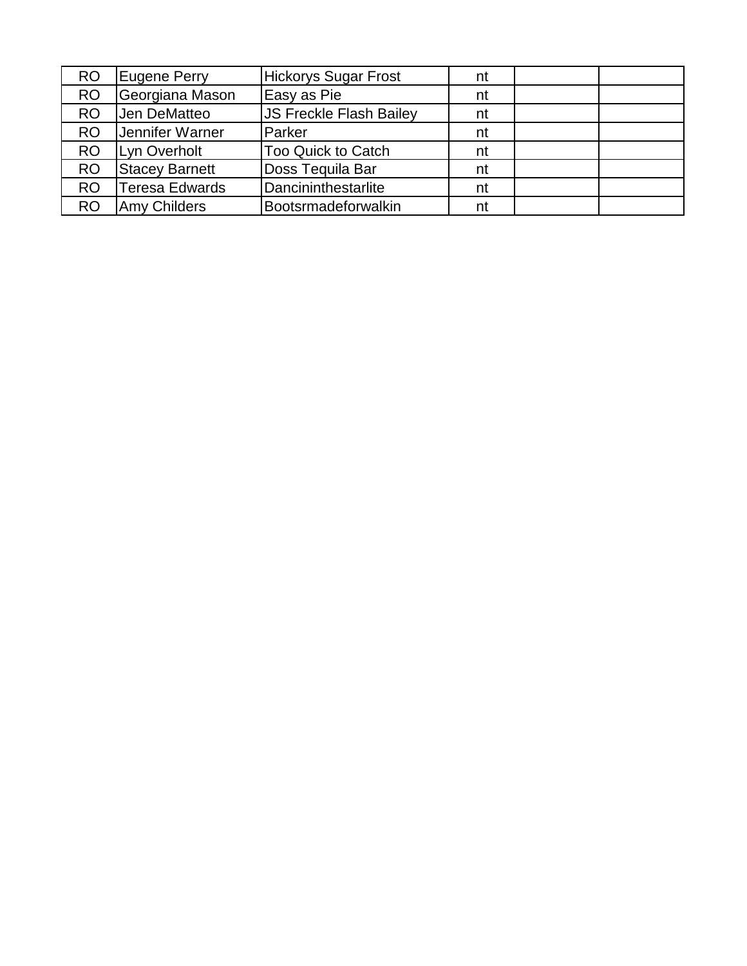| RO        | <b>Eugene Perry</b>   | <b>Hickorys Sugar Frost</b>    | nt |  |
|-----------|-----------------------|--------------------------------|----|--|
| <b>RO</b> | Georgiana Mason       | Easy as Pie                    | nt |  |
| <b>RO</b> | Jen DeMatteo          | <b>JS Freckle Flash Bailey</b> | nt |  |
| <b>RO</b> | Jennifer Warner       | Parker                         | nt |  |
| <b>RO</b> | Lyn Overholt          | <b>Too Quick to Catch</b>      | nt |  |
| <b>RO</b> | <b>Stacey Barnett</b> | Doss Tequila Bar               | nt |  |
| <b>RO</b> | Teresa Edwards        | Dancininthestarlite            | nt |  |
| <b>RO</b> | Amy Childers          | Bootsrmadeforwalkin            | nt |  |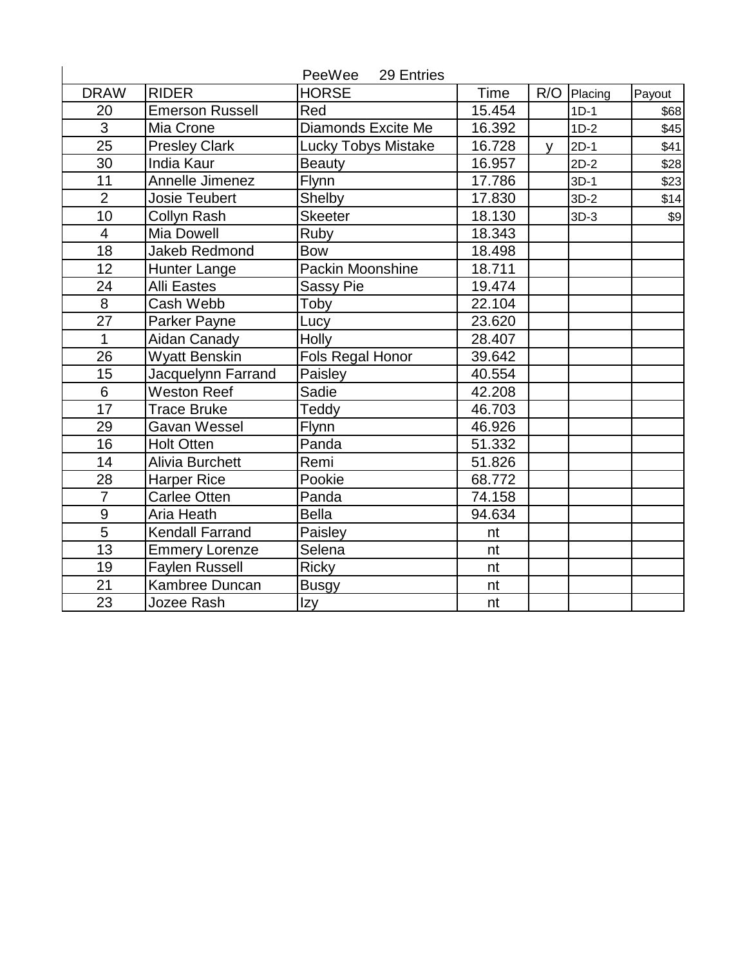|                 |                        | PeeWee<br>29 Entries       |        |              |         |        |
|-----------------|------------------------|----------------------------|--------|--------------|---------|--------|
| <b>DRAW</b>     | <b>RIDER</b>           | <b>HORSE</b>               | Time   | R/O          | Placing | Payout |
| 20              | <b>Emerson Russell</b> | Red                        | 15.454 |              | $1D-1$  | \$68   |
| $\overline{3}$  | Mia Crone              | Diamonds Excite Me         | 16.392 |              | $1D-2$  | \$45   |
| 25              | <b>Presley Clark</b>   | <b>Lucky Tobys Mistake</b> | 16.728 | $\mathsf{V}$ | $2D-1$  | \$41   |
| 30              | <b>India Kaur</b>      | <b>Beauty</b>              | 16.957 |              | $2D-2$  | \$28   |
| 11              | Annelle Jimenez        | Flynn                      | 17.786 |              | $3D-1$  | \$23   |
| $\overline{2}$  | <b>Josie Teubert</b>   | Shelby                     | 17.830 |              | $3D-2$  | \$14   |
| 10              | Collyn Rash            | <b>Skeeter</b>             | 18.130 |              | $3D-3$  | \$9    |
| 4               | Mia Dowell             | Ruby                       | 18.343 |              |         |        |
| $\overline{18}$ | <b>Jakeb Redmond</b>   | <b>Bow</b>                 | 18.498 |              |         |        |
| 12              | <b>Hunter Lange</b>    | Packin Moonshine           | 18.711 |              |         |        |
| 24              | <b>Alli Eastes</b>     | <b>Sassy Pie</b>           | 19.474 |              |         |        |
| 8               | Cash Webb              | Toby                       | 22.104 |              |         |        |
| 27              | Parker Payne           | Lucy                       | 23.620 |              |         |        |
| 1               | Aidan Canady           | Holly                      | 28.407 |              |         |        |
| 26              | <b>Wyatt Benskin</b>   | Fols Regal Honor           | 39.642 |              |         |        |
| 15              | Jacquelynn Farrand     | Paisley                    | 40.554 |              |         |        |
| $\overline{6}$  | <b>Weston Reef</b>     | Sadie                      | 42.208 |              |         |        |
| 17              | <b>Trace Bruke</b>     | Teddy                      | 46.703 |              |         |        |
| 29              | Gavan Wessel           | Flynn                      | 46.926 |              |         |        |
| 16              | <b>Holt Otten</b>      | Panda                      | 51.332 |              |         |        |
| 14              | <b>Alivia Burchett</b> | Remi                       | 51.826 |              |         |        |
| 28              | <b>Harper Rice</b>     | Pookie                     | 68.772 |              |         |        |
| $\overline{7}$  | Carlee Otten           | Panda                      | 74.158 |              |         |        |
| 9               | Aria Heath             | <b>Bella</b>               | 94.634 |              |         |        |
| 5               | <b>Kendall Farrand</b> | Paisley                    | nt     |              |         |        |
| 13              | <b>Emmery Lorenze</b>  | Selena                     | nt     |              |         |        |
| 19              | <b>Faylen Russell</b>  | <b>Ricky</b>               | nt     |              |         |        |
| 21              | Kambree Duncan         | <b>Busgy</b>               | nt     |              |         |        |
| 23              | Jozee Rash             | Izy                        | nt     |              |         |        |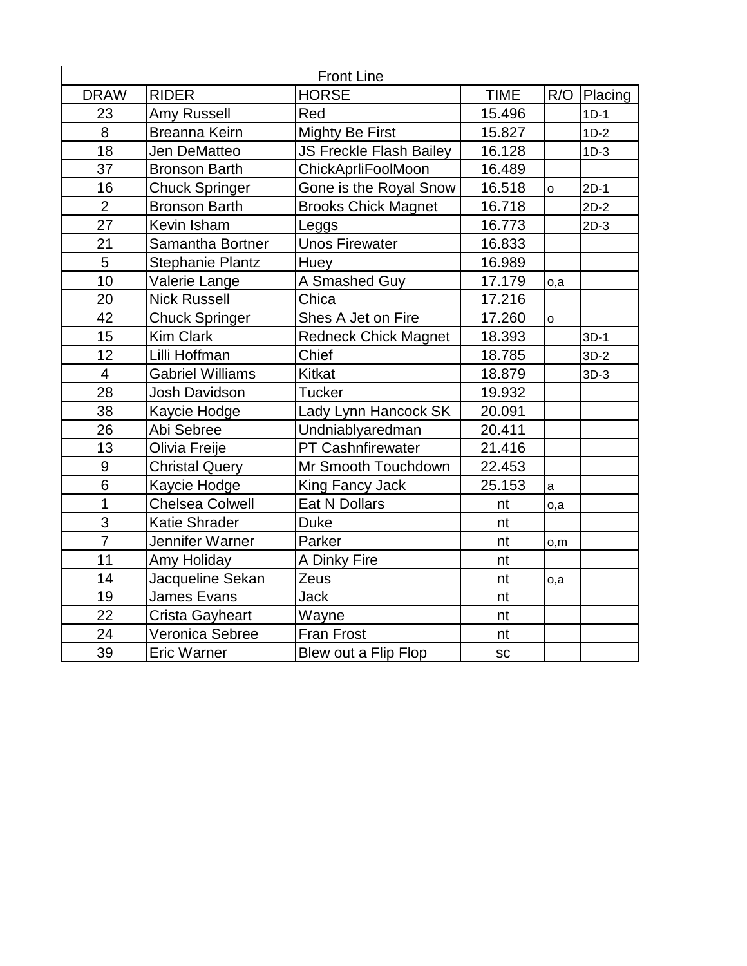|                  | <b>Front Line</b>       |                             |             |         |         |  |  |  |
|------------------|-------------------------|-----------------------------|-------------|---------|---------|--|--|--|
| <b>DRAW</b>      | <b>RIDER</b>            | <b>HORSE</b>                | <b>TIME</b> | R/O     | Placing |  |  |  |
| 23               | Amy Russell             | Red                         | 15.496      |         | $1D-1$  |  |  |  |
| 8                | <b>Breanna Keirn</b>    | <b>Mighty Be First</b>      | 15.827      |         | $1D-2$  |  |  |  |
| 18               | Jen DeMatteo            | JS Freckle Flash Bailey     | 16.128      |         | $1D-3$  |  |  |  |
| 37               | <b>Bronson Barth</b>    | ChickAprliFoolMoon          | 16.489      |         |         |  |  |  |
| 16               | <b>Chuck Springer</b>   | Gone is the Royal Snow      | 16.518      | $\circ$ | $2D-1$  |  |  |  |
| $\overline{2}$   | <b>Bronson Barth</b>    | <b>Brooks Chick Magnet</b>  | 16.718      |         | $2D-2$  |  |  |  |
| 27               | Kevin Isham             | Leggs                       | 16.773      |         | $2D-3$  |  |  |  |
| 21               | Samantha Bortner        | <b>Unos Firewater</b>       | 16.833      |         |         |  |  |  |
| 5                | Stephanie Plantz        | Huey                        | 16.989      |         |         |  |  |  |
| 10               | Valerie Lange           | A Smashed Guy               | 17.179      | o,a     |         |  |  |  |
| 20               | <b>Nick Russell</b>     | Chica                       | 17.216      |         |         |  |  |  |
| 42               | <b>Chuck Springer</b>   | Shes A Jet on Fire          | 17.260      | $\circ$ |         |  |  |  |
| 15               | <b>Kim Clark</b>        | <b>Redneck Chick Magnet</b> | 18.393      |         | $3D-1$  |  |  |  |
| 12               | Lilli Hoffman           | Chief                       | 18.785      |         | $3D-2$  |  |  |  |
| $\overline{4}$   | <b>Gabriel Williams</b> | <b>Kitkat</b>               | 18.879      |         | $3D-3$  |  |  |  |
| 28               | <b>Josh Davidson</b>    | <b>Tucker</b>               | 19.932      |         |         |  |  |  |
| 38               | Kaycie Hodge            | Lady Lynn Hancock SK        | 20.091      |         |         |  |  |  |
| 26               | Abi Sebree              | Undniablyaredman            | 20.411      |         |         |  |  |  |
| 13               | Olivia Freije           | <b>PT Cashnfirewater</b>    | 21.416      |         |         |  |  |  |
| $\boldsymbol{9}$ | <b>Christal Query</b>   | Mr Smooth Touchdown         | 22.453      |         |         |  |  |  |
| $\overline{6}$   | Kaycie Hodge            | King Fancy Jack             | 25.153      | a       |         |  |  |  |
| 1                | <b>Chelsea Colwell</b>  | Eat N Dollars               | nt          | o,a     |         |  |  |  |
| 3                | <b>Katie Shrader</b>    | <b>Duke</b>                 | nt          |         |         |  |  |  |
| $\overline{7}$   | Jennifer Warner         | Parker                      | nt          | o,m     |         |  |  |  |
| 11               | Amy Holiday             | A Dinky Fire                | nt          |         |         |  |  |  |
| 14               | Jacqueline Sekan        | Zeus                        | nt          | o,a     |         |  |  |  |
| 19               | James Evans             | <b>Jack</b>                 | nt          |         |         |  |  |  |
| 22               | Crista Gayheart         | Wayne                       | nt          |         |         |  |  |  |
| 24               | Veronica Sebree         | <b>Fran Frost</b>           | nt          |         |         |  |  |  |
| 39               | <b>Eric Warner</b>      | Blew out a Flip Flop        | SC          |         |         |  |  |  |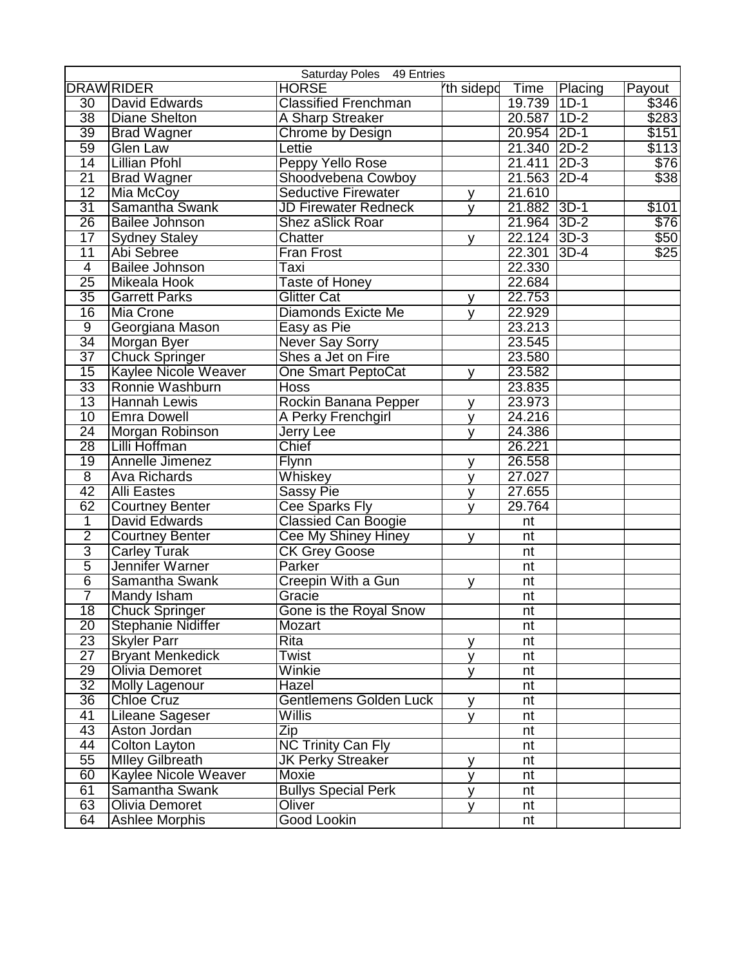| Saturday Poles 49 Entries |                           |                               |           |                          |         |             |
|---------------------------|---------------------------|-------------------------------|-----------|--------------------------|---------|-------------|
|                           | <b>DRAWRIDER</b>          | <b>HORSE</b>                  | th sidepd | Time                     | Placing | Payout      |
| $\overline{30}$           | David Edwards             | <b>Classified Frenchman</b>   |           | 19.739 1D-1              |         | \$346       |
| $\overline{38}$           | <b>Diane Shelton</b>      | A Sharp Streaker              |           | 20.587 1D-2              |         | \$283       |
| 39                        | <b>Brad Wagner</b>        | Chrome by Design              |           | 20.954 2D-1              |         | \$151       |
| 59                        | <b>Glen Law</b>           | Lettie                        |           | 21.340 2D-2              |         | \$113       |
| 14                        | <b>Lillian Pfohl</b>      | Peppy Yello Rose              |           | 21.411 2D-3              |         | \$76        |
| 21                        | <b>Brad Wagner</b>        | Shoodvebena Cowboy            |           | 21.563 2D-4              |         | \$38        |
| $\overline{12}$           | Mia McCoy                 | <b>Seductive Firewater</b>    | v         | 21.610                   |         |             |
| 31                        | Samantha Swank            | <b>JD Firewater Redneck</b>   | v         | 21.882 3D-1              |         | \$101       |
| $\overline{26}$           | <b>Bailee Johnson</b>     | Shez aSlick Roar              |           | 21.964 3D-2              |         | \$76]       |
| $\overline{17}$           | <b>Sydney Staley</b>      | Chatter                       | v         | 22.124 3D-3              |         | \$50        |
| $\overline{11}$           | Abi Sebree                | <b>Fran Frost</b>             |           | 22.301 3D-4              |         | $\sqrt{25}$ |
| $\overline{4}$            | <b>Bailee Johnson</b>     | Taxi                          |           | 22.330                   |         |             |
| $\overline{25}$           | Mikeala Hook              | <b>Taste of Honey</b>         |           | 22.684                   |         |             |
| $\overline{35}$           | <b>Garrett Parks</b>      | <b>Glitter Cat</b>            | y         | 22.753                   |         |             |
| 16                        | <b>Mia Crone</b>          | <b>Diamonds Exicte Me</b>     | v         | 22.929                   |         |             |
| $\overline{9}$            | Georgiana Mason           | Easy as Pie                   |           | 23.213                   |         |             |
| 34                        | Morgan Byer               | <b>Never Say Sorry</b>        |           | 23.545                   |         |             |
| $\overline{37}$           | <b>Chuck Springer</b>     | Shes a Jet on Fire            |           | 23.580                   |         |             |
| $\overline{15}$           | Kaylee Nicole Weaver      | <b>One Smart PeptoCat</b>     | V         | 23.582                   |         |             |
| 33                        | Ronnie Washburn           | <b>Hoss</b>                   |           | 23.835                   |         |             |
| $\overline{13}$           | <b>Hannah Lewis</b>       | Rockin Banana Pepper          | v         | 23.973                   |         |             |
| 10                        | <b>Emra Dowell</b>        | A Perky Frenchgirl            | y         | 24.216                   |         |             |
| $\overline{24}$           | Morgan Robinson           | <b>Jerry Lee</b>              | v         | 24.386                   |         |             |
| $\overline{28}$           | Lilli Hoffman             | Chief                         |           | 26.221                   |         |             |
| 19                        | Annelle Jimenez           | Flynn                         | v         | 26.558                   |         |             |
| $\overline{8}$            | <b>Ava Richards</b>       | Whiskey                       | v         | 27.027                   |         |             |
| $\overline{42}$           | <b>Alli Eastes</b>        | Sassy Pie                     | v         | 27.655                   |         |             |
| 62                        | <b>Courtney Benter</b>    | <b>Cee Sparks Fly</b>         | v         | 29.764                   |         |             |
| 1                         | David Edwards             | <b>Classied Can Boogie</b>    |           | nt                       |         |             |
| $\overline{2}$            | <b>Courtney Benter</b>    | Cee My Shiney Hiney           | v         | nt                       |         |             |
| $\overline{3}$            | <b>Carley Turak</b>       | <b>CK Grey Goose</b>          |           | nt                       |         |             |
| $\overline{5}$            | Jennifer Warner           | Parker                        |           | nt                       |         |             |
| $\overline{6}$            | Samantha Swank            | Creepin With a Gun            | v         | nt                       |         |             |
| 7                         | Mandy Isham               | Gracie                        |           | nt                       |         |             |
| $\overline{18}$           | <b>Chuck Springer</b>     | Gone is the Roval Snow        |           | $\overline{\mathsf{nt}}$ |         |             |
| $\overline{20}$           | <b>Stephanie Nidiffer</b> | Mozart                        |           | nt                       |         |             |
| $\overline{23}$           | <b>Skyler Parr</b>        | Rita                          | y         | nt                       |         |             |
| $\overline{27}$           | <b>Bryant Menkedick</b>   | Twist                         | <b>y</b>  | nt                       |         |             |
| 29                        | <b>Olivia Demoret</b>     | Winkie                        | y         | nt                       |         |             |
| $\overline{32}$           | <b>Molly Lagenour</b>     | Hazel                         |           | nt                       |         |             |
| 36                        | <b>Chloe Cruz</b>         | <b>Gentlemens Golden Luck</b> | y         | nt                       |         |             |
| $\overline{41}$           | <b>Lileane Sageser</b>    | Willis                        | y         | nt                       |         |             |
| 43                        | Aston Jordan              | Zip                           |           | nt                       |         |             |
| 44                        | <b>Colton Layton</b>      | <b>NC Trinity Can Fly</b>     |           | nt                       |         |             |
| 55                        | <b>Mlley Gilbreath</b>    | <b>JK Perky Streaker</b>      | у         | nt                       |         |             |
| 60                        | Kaylee Nicole Weaver      | Moxie                         | y         | nt                       |         |             |
| 61                        | Samantha Swank            | <b>Bullys Special Perk</b>    | V         | nt                       |         |             |
|                           | <b>Olivia Demoret</b>     | Oliver                        | У         | nt                       |         |             |
| 63                        |                           |                               |           |                          |         |             |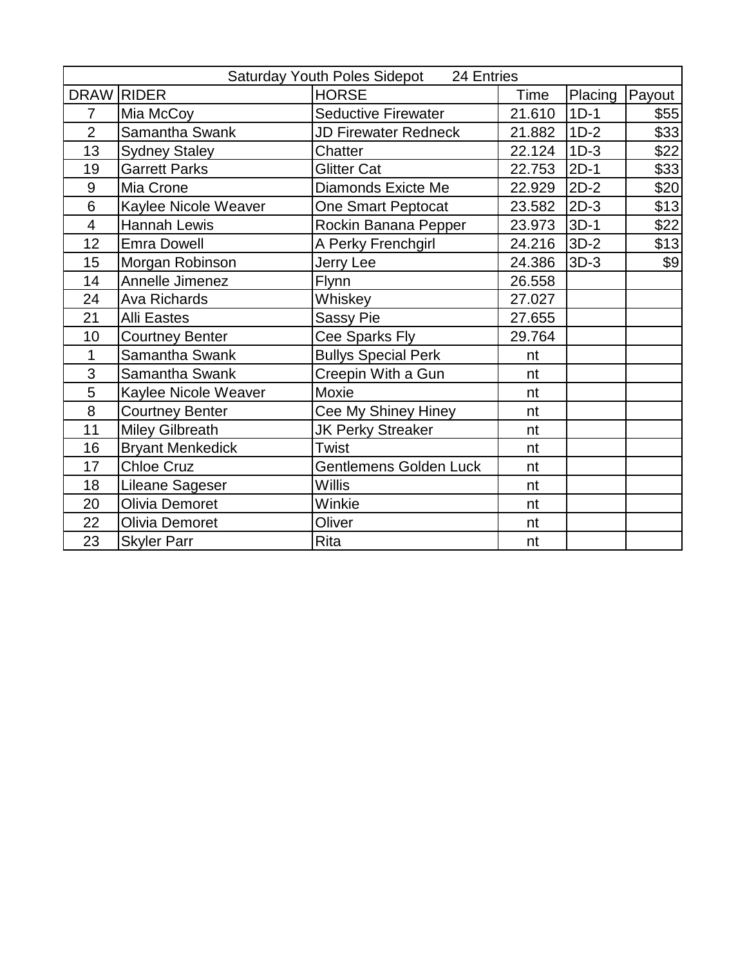|                          | Saturday Youth Poles Sidepot 24 Entries |                               |        |         |        |  |
|--------------------------|-----------------------------------------|-------------------------------|--------|---------|--------|--|
| <b>DRAW</b>              | <b>RIDER</b>                            | <b>HORSE</b>                  | Time   | Placing | Payout |  |
| 7                        | Mia McCoy                               | <b>Seductive Firewater</b>    | 21.610 | $1D-1$  | \$55   |  |
| $\overline{2}$           | Samantha Swank                          | <b>JD Firewater Redneck</b>   | 21.882 | $1D-2$  | \$33   |  |
| 13                       | <b>Sydney Staley</b>                    | Chatter                       | 22.124 | $1D-3$  | \$22   |  |
| 19                       | <b>Garrett Parks</b>                    | <b>Glitter Cat</b>            | 22.753 | $2D-1$  | \$33]  |  |
| 9                        | Mia Crone                               | Diamonds Exicte Me            | 22.929 | $2D-2$  | \$20   |  |
| 6                        | Kaylee Nicole Weaver                    | One Smart Peptocat            | 23.582 | $2D-3$  | \$13   |  |
| $\overline{\mathcal{A}}$ | <b>Hannah Lewis</b>                     | Rockin Banana Pepper          | 23.973 | $3D-1$  | \$22   |  |
| 12                       | <b>Emra Dowell</b>                      | A Perky Frenchgirl            | 24.216 | $3D-2$  | \$13   |  |
| 15                       | Morgan Robinson                         | Jerry Lee                     | 24.386 | $3D-3$  | \$9    |  |
| 14                       | <b>Annelle Jimenez</b>                  | Flynn                         | 26.558 |         |        |  |
| 24                       | <b>Ava Richards</b>                     | Whiskey                       | 27.027 |         |        |  |
| 21                       | <b>Alli Eastes</b>                      | <b>Sassy Pie</b>              | 27.655 |         |        |  |
| 10                       | <b>Courtney Benter</b>                  | Cee Sparks Fly                | 29.764 |         |        |  |
| 1                        | Samantha Swank                          | <b>Bullys Special Perk</b>    | nt     |         |        |  |
| 3                        | Samantha Swank                          | Creepin With a Gun            | nt     |         |        |  |
| 5                        | Kaylee Nicole Weaver                    | Moxie                         | nt     |         |        |  |
| 8                        | <b>Courtney Benter</b>                  | Cee My Shiney Hiney           | nt     |         |        |  |
| 11                       | <b>Miley Gilbreath</b>                  | <b>JK Perky Streaker</b>      | nt     |         |        |  |
| 16                       | <b>Bryant Menkedick</b>                 | Twist                         | nt     |         |        |  |
| 17                       | <b>Chloe Cruz</b>                       | <b>Gentlemens Golden Luck</b> | nt     |         |        |  |
| 18                       | Lileane Sageser                         | Willis                        | nt     |         |        |  |
| 20                       | Olivia Demoret                          | Winkie                        | nt     |         |        |  |
| 22                       | Olivia Demoret                          | Oliver                        | nt     |         |        |  |
| 23                       | <b>Skyler Parr</b>                      | Rita                          | nt     |         |        |  |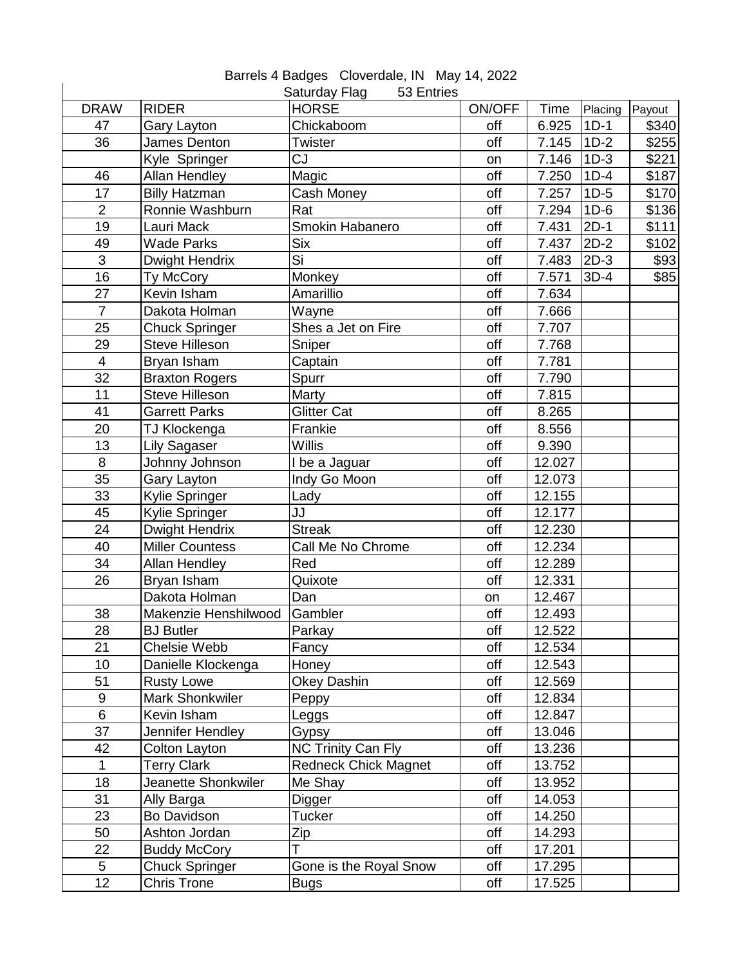| <b>DRAW</b>    | <b>RIDER</b>                 | Saturday Flag<br>53 Entries<br><b>HORSE</b> | <b>ON/OFF</b> | <b>Time</b> | Placing | Payout |
|----------------|------------------------------|---------------------------------------------|---------------|-------------|---------|--------|
| 47             | Gary Layton                  | Chickaboom                                  | off           | 6.925       | $1D-1$  | \$340  |
| 36             | James Denton                 | Twister                                     | off           | 7.145       | $1D-2$  | \$255  |
|                | Kyle Springer                | CJ                                          | on            | 7.146       | $1D-3$  | \$221  |
| 46             | <b>Allan Hendley</b>         | Magic                                       | off           | 7.250       | $1D-4$  | \$187  |
| 17             | <b>Billy Hatzman</b>         | Cash Money                                  | off           | 7.257       | $1D-5$  | \$170  |
| $\overline{2}$ | Ronnie Washburn              | Rat                                         | off           | 7.294       | $1D-6$  | \$136  |
| 19             | Lauri Mack                   | Smokin Habanero                             | off           | 7.431       | $2D-1$  | \$111  |
| 49             | <b>Wade Parks</b>            | <b>Six</b>                                  | off           | 7.437       | $2D-2$  | \$102  |
| 3              | Dwight Hendrix               | Si                                          | off           | 7.483       | $2D-3$  | \$93   |
| 16             | Ty McCory                    | Monkey                                      | off           | 7.571       | $3D-4$  | \$85   |
| 27             | Kevin Isham                  | Amarillio                                   | off           | 7.634       |         |        |
| $\overline{7}$ | Dakota Holman                | Wayne                                       | off           | 7.666       |         |        |
| 25             | <b>Chuck Springer</b>        | Shes a Jet on Fire                          | off           | 7.707       |         |        |
| 29             | <b>Steve Hilleson</b>        | Sniper                                      | off           | 7.768       |         |        |
| $\overline{4}$ | Bryan Isham                  | Captain                                     | off           | 7.781       |         |        |
| 32             | <b>Braxton Rogers</b>        | Spurr                                       | off           | 7.790       |         |        |
| 11             | <b>Steve Hilleson</b>        | Marty                                       | off           | 7.815       |         |        |
| 41             | <b>Garrett Parks</b>         | <b>Glitter Cat</b>                          | off           | 8.265       |         |        |
| 20             | TJ Klockenga                 | Frankie                                     | off           | 8.556       |         |        |
| 13             | Lily Sagaser                 | <b>Willis</b>                               | off           | 9.390       |         |        |
| 8              | Johnny Johnson               | I be a Jaguar                               | off           | 12.027      |         |        |
| 35             | Gary Layton                  | Indy Go Moon                                | off           | 12.073      |         |        |
| 33             | Kylie Springer               | Lady                                        | off           | 12.155      |         |        |
| 45             | Kylie Springer               | JJ                                          | off           | 12.177      |         |        |
| 24             | Dwight Hendrix               | <b>Streak</b>                               | off           | 12.230      |         |        |
| 40             | <b>Miller Countess</b>       | Call Me No Chrome                           | off           | 12.234      |         |        |
| 34             | <b>Allan Hendley</b>         | Red                                         | off           | 12.289      |         |        |
| 26             | Bryan Isham                  | Quixote                                     | off           | 12.331      |         |        |
|                | Dakota Holman                | Dan                                         | on            | 12.467      |         |        |
| 38             | Makenzie Henshilwood Gambler |                                             | off           | 12.493      |         |        |
| 28             | <b>BJ</b> Butler             | Parkay                                      | off           | 12.522      |         |        |
| 21             | Chelsie Webb                 | Fancy                                       | off           | 12.534      |         |        |
| 10             | Danielle Klockenga           | Honey                                       | off           | 12.543      |         |        |
| 51             | <b>Rusty Lowe</b>            | <b>Okey Dashin</b>                          | off           | 12.569      |         |        |
| 9              | <b>Mark Shonkwiler</b>       | Peppy                                       | off           | 12.834      |         |        |
| 6              | Kevin Isham                  | Leggs                                       | off           | 12.847      |         |        |
| 37             | Jennifer Hendley             | Gypsy                                       | off           | 13.046      |         |        |
| 42             | Colton Layton                | <b>NC Trinity Can Fly</b>                   | off           | 13.236      |         |        |
| $\mathbf{1}$   | <b>Terry Clark</b>           | <b>Redneck Chick Magnet</b>                 | off           | 13.752      |         |        |
| 18             | Jeanette Shonkwiler          | Me Shay                                     | off           | 13.952      |         |        |
| 31             | Ally Barga                   | Digger                                      | off           | 14.053      |         |        |
| 23             | Bo Davidson                  | <b>Tucker</b>                               | off           | 14.250      |         |        |
| 50             | Ashton Jordan                | Zip                                         | off           | 14.293      |         |        |
| 22             | <b>Buddy McCory</b>          | T                                           | off           | 17.201      |         |        |
| 5              | <b>Chuck Springer</b>        | Gone is the Royal Snow                      | off           | 17.295      |         |        |
| 12             | Chris Trone                  | <b>Bugs</b>                                 | off           | 17.525      |         |        |

Barrels 4 Badges Cloverdale, IN May 14, 2022